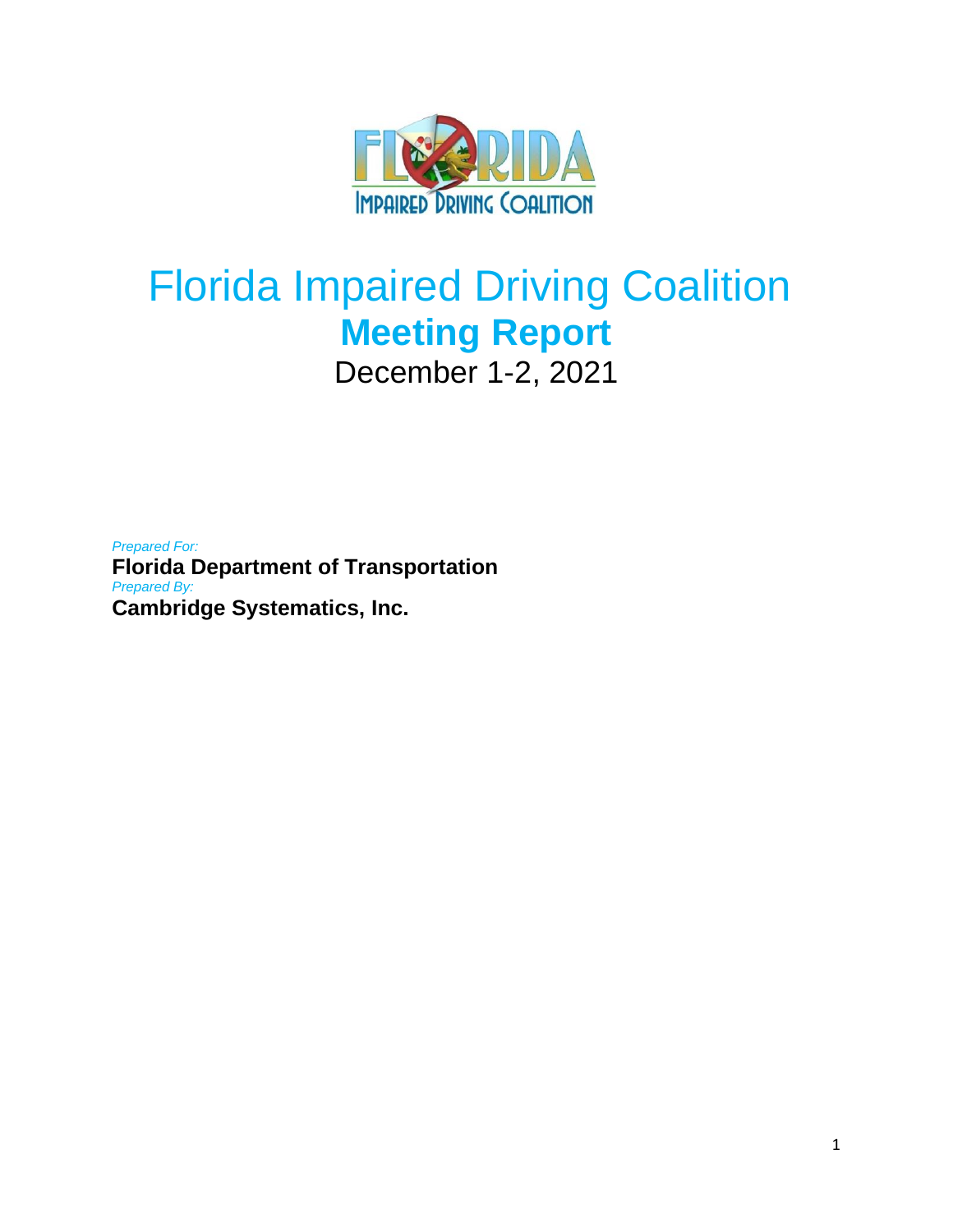

# Florida Impaired Driving Coalition **Meeting Report** December 1-2, 2021

*Prepared For:* **Florida Department of Transportation** *Prepared By:* **Cambridge Systematics, Inc.**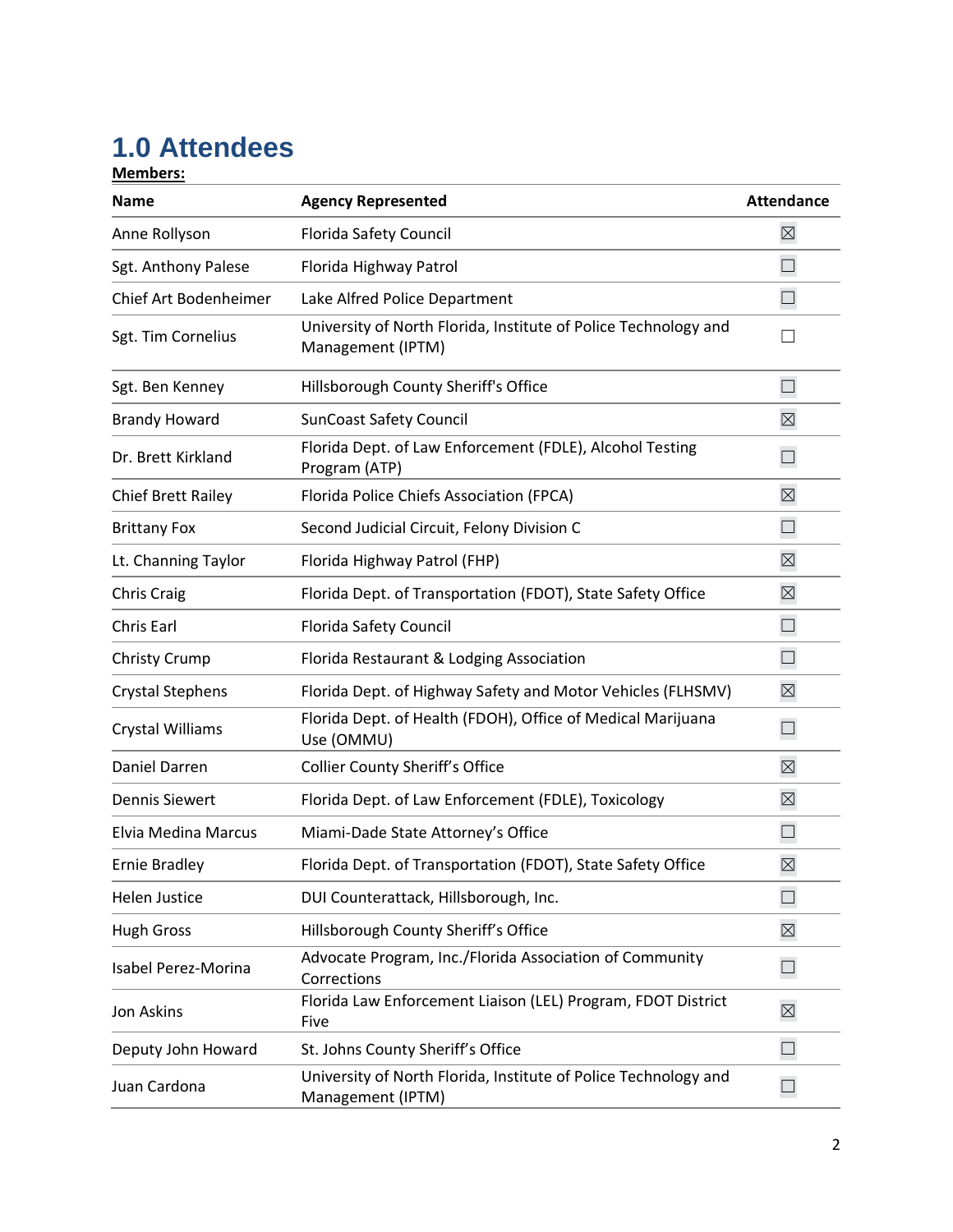# **1.0 Attendees**

**Members:**

| <b>Name</b>                | <b>Agency Represented</b>                                                            | <b>Attendance</b> |
|----------------------------|--------------------------------------------------------------------------------------|-------------------|
| Anne Rollyson              | Florida Safety Council                                                               | $\boxtimes$       |
| Sgt. Anthony Palese        | Florida Highway Patrol                                                               | $\Box$            |
| Chief Art Bodenheimer      | Lake Alfred Police Department                                                        | $\Box$            |
| Sgt. Tim Cornelius         | University of North Florida, Institute of Police Technology and<br>Management (IPTM) |                   |
| Sgt. Ben Kenney            | Hillsborough County Sheriff's Office                                                 | $\Box$            |
| <b>Brandy Howard</b>       | <b>SunCoast Safety Council</b>                                                       | $\boxtimes$       |
| Dr. Brett Kirkland         | Florida Dept. of Law Enforcement (FDLE), Alcohol Testing<br>Program (ATP)            | $\Box$            |
| <b>Chief Brett Railey</b>  | Florida Police Chiefs Association (FPCA)                                             | $\boxtimes$       |
| <b>Brittany Fox</b>        | Second Judicial Circuit, Felony Division C                                           | $\Box$            |
| Lt. Channing Taylor        | Florida Highway Patrol (FHP)                                                         | $\boxtimes$       |
| <b>Chris Craig</b>         | Florida Dept. of Transportation (FDOT), State Safety Office                          | $\boxtimes$       |
| Chris Earl                 | Florida Safety Council                                                               | $\Box$            |
| <b>Christy Crump</b>       | Florida Restaurant & Lodging Association                                             | $\Box$            |
| <b>Crystal Stephens</b>    | Florida Dept. of Highway Safety and Motor Vehicles (FLHSMV)                          | $\boxtimes$       |
| Crystal Williams           | Florida Dept. of Health (FDOH), Office of Medical Marijuana<br>Use (OMMU)            | $\Box$            |
| Daniel Darren              | <b>Collier County Sheriff's Office</b>                                               | $\boxtimes$       |
| <b>Dennis Siewert</b>      | Florida Dept. of Law Enforcement (FDLE), Toxicology                                  | $\boxtimes$       |
| <b>Elvia Medina Marcus</b> | Miami-Dade State Attorney's Office                                                   | $\Box$            |
| <b>Ernie Bradley</b>       | Florida Dept. of Transportation (FDOT), State Safety Office                          | $\boxtimes$       |
| <b>Helen Justice</b>       | DUI Counterattack, Hillsborough, Inc.                                                |                   |
| <b>Hugh Gross</b>          | Hillsborough County Sheriff's Office                                                 | $\boxtimes$       |
| Isabel Perez-Morina        | Advocate Program, Inc./Florida Association of Community<br>Corrections               | $\Box$            |
| Jon Askins                 | Florida Law Enforcement Liaison (LEL) Program, FDOT District<br>Five                 | $\boxtimes$       |
| Deputy John Howard         | St. Johns County Sheriff's Office                                                    | $\Box$            |
| Juan Cardona               | University of North Florida, Institute of Police Technology and<br>Management (IPTM) | $\Box$            |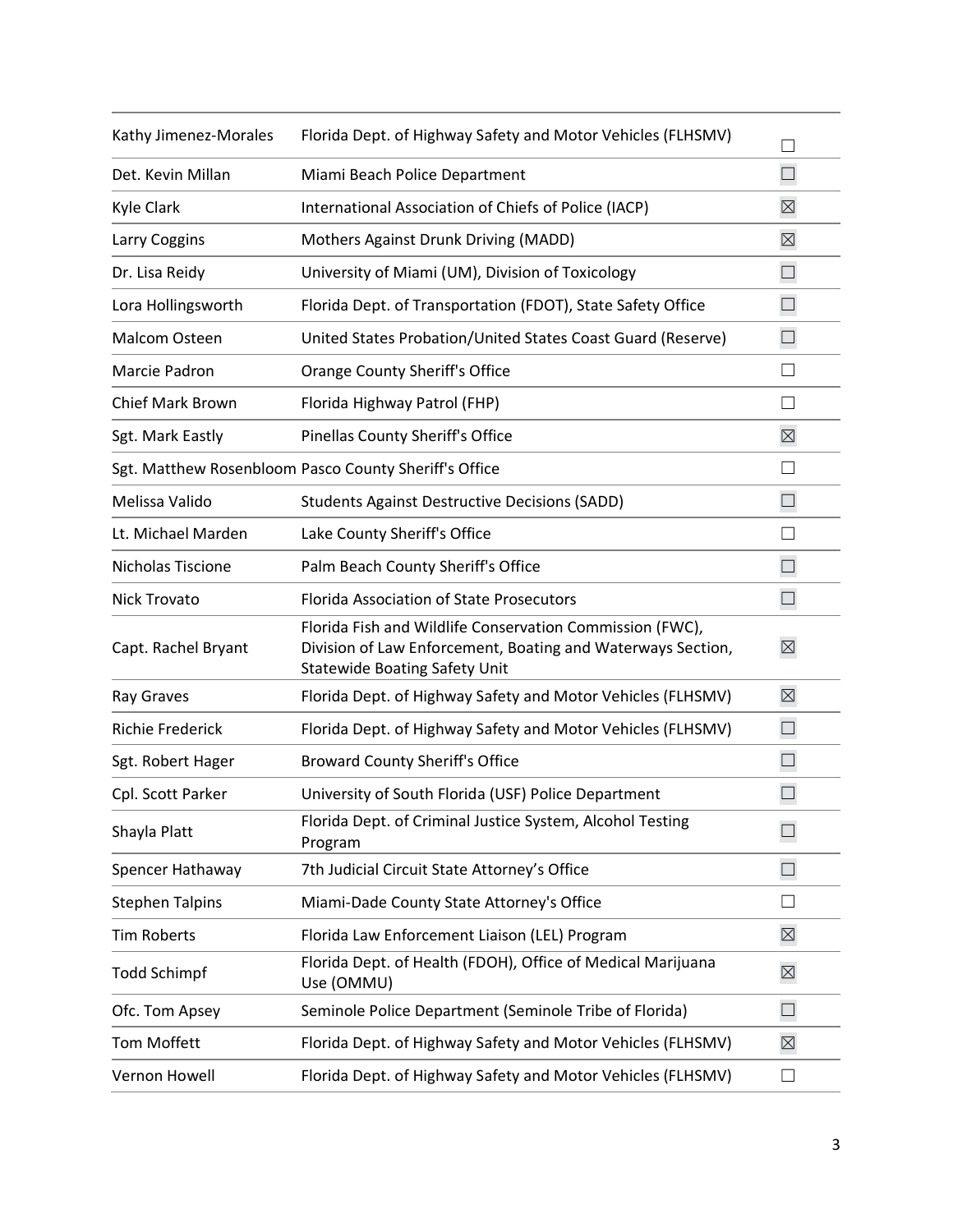| Kathy Jimenez-Morales   | Florida Dept. of Highway Safety and Motor Vehicles (FLHSMV)                                                                                                     |                   |
|-------------------------|-----------------------------------------------------------------------------------------------------------------------------------------------------------------|-------------------|
| Det. Kevin Millan       | Miami Beach Police Department                                                                                                                                   | $\Box$            |
| Kyle Clark              | International Association of Chiefs of Police (IACP)                                                                                                            | $\boxtimes$       |
| Larry Coggins           | Mothers Against Drunk Driving (MADD)                                                                                                                            | $\boxtimes$       |
| Dr. Lisa Reidy          | University of Miami (UM), Division of Toxicology                                                                                                                | $\Box$            |
| Lora Hollingsworth      | Florida Dept. of Transportation (FDOT), State Safety Office                                                                                                     | $\Box$            |
| Malcom Osteen           | United States Probation/United States Coast Guard (Reserve)                                                                                                     | $\Box$            |
| Marcie Padron           | Orange County Sheriff's Office                                                                                                                                  | $\mathsf{L}$      |
| <b>Chief Mark Brown</b> | Florida Highway Patrol (FHP)                                                                                                                                    | $\vert \ \ \vert$ |
| Sgt. Mark Eastly        | Pinellas County Sheriff's Office                                                                                                                                | $\boxtimes$       |
|                         | Sgt. Matthew Rosenbloom Pasco County Sheriff's Office                                                                                                           | $\vert \ \ \vert$ |
| Melissa Valido          | <b>Students Against Destructive Decisions (SADD)</b>                                                                                                            | П                 |
| Lt. Michael Marden      | Lake County Sheriff's Office                                                                                                                                    | $\vert \ \ \vert$ |
| Nicholas Tiscione       | Palm Beach County Sheriff's Office                                                                                                                              | $\Box$            |
| Nick Trovato            | <b>Florida Association of State Prosecutors</b>                                                                                                                 | $\Box$            |
| Capt. Rachel Bryant     | Florida Fish and Wildlife Conservation Commission (FWC),<br>Division of Law Enforcement, Boating and Waterways Section,<br><b>Statewide Boating Safety Unit</b> | $\boxtimes$       |
| Ray Graves              | Florida Dept. of Highway Safety and Motor Vehicles (FLHSMV)                                                                                                     | $\boxtimes$       |
| <b>Richie Frederick</b> | Florida Dept. of Highway Safety and Motor Vehicles (FLHSMV)                                                                                                     | $\Box$            |
| Sgt. Robert Hager       | <b>Broward County Sheriff's Office</b>                                                                                                                          | $\Box$            |
| Cpl. Scott Parker       | University of South Florida (USF) Police Department                                                                                                             | $\vert \ \ \vert$ |
| Shayla Platt            | Florida Dept. of Criminal Justice System, Alcohol Testing<br>Program                                                                                            |                   |
| Spencer Hathaway        | 7th Judicial Circuit State Attorney's Office                                                                                                                    | П                 |
| <b>Stephen Talpins</b>  | Miami-Dade County State Attorney's Office                                                                                                                       | $\perp$           |
| <b>Tim Roberts</b>      | Florida Law Enforcement Liaison (LEL) Program                                                                                                                   | $\boxtimes$       |
| <b>Todd Schimpf</b>     | Florida Dept. of Health (FDOH), Office of Medical Marijuana<br>Use (OMMU)                                                                                       | $\boxtimes$       |
| Ofc. Tom Apsey          | Seminole Police Department (Seminole Tribe of Florida)                                                                                                          | $\Box$            |
| <b>Tom Moffett</b>      | Florida Dept. of Highway Safety and Motor Vehicles (FLHSMV)                                                                                                     | $\boxtimes$       |
| Vernon Howell           | Florida Dept. of Highway Safety and Motor Vehicles (FLHSMV)                                                                                                     | $\Box$            |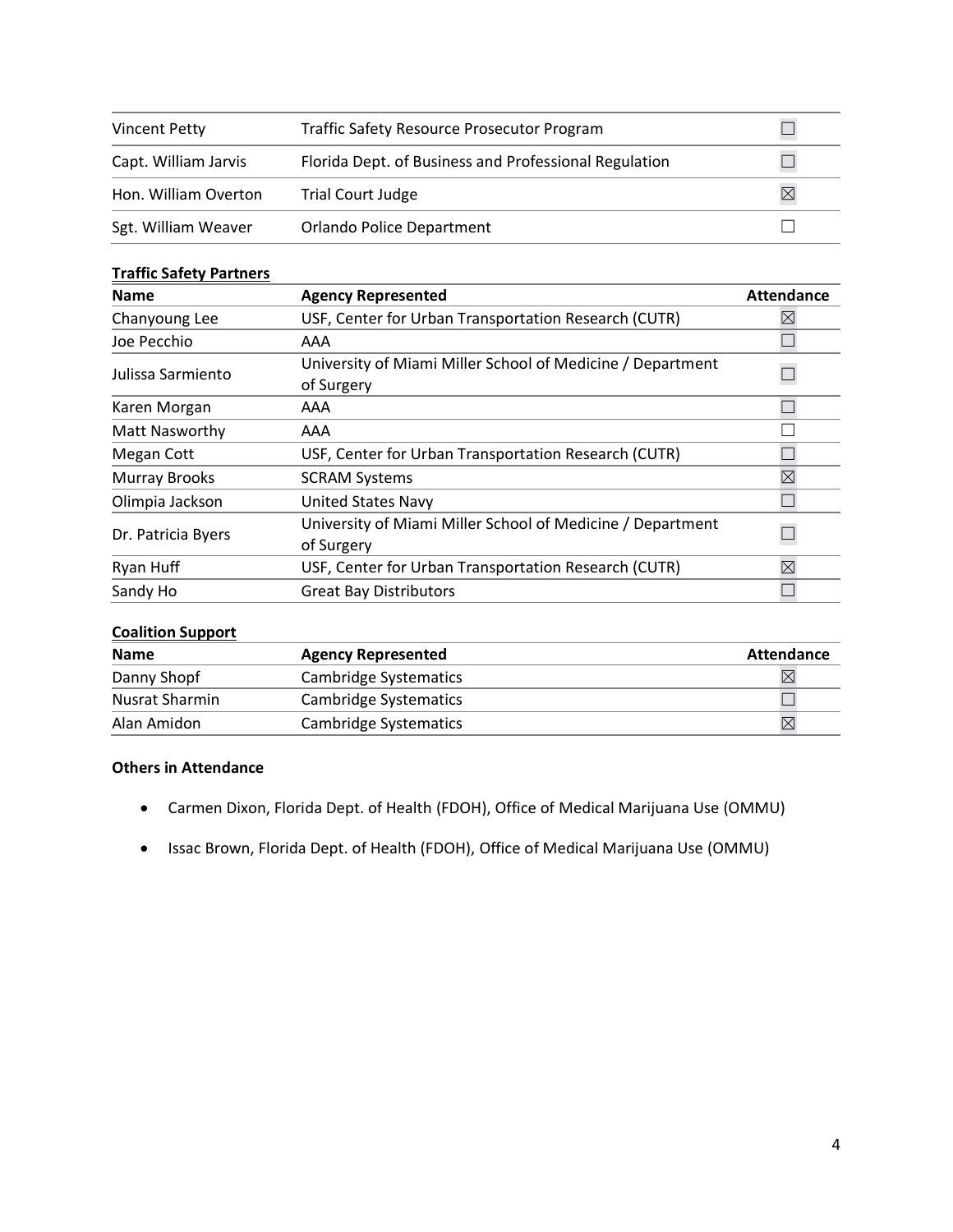| Vincent Petty        | <b>Traffic Safety Resource Prosecutor Program</b>     |             |
|----------------------|-------------------------------------------------------|-------------|
| Capt. William Jarvis | Florida Dept. of Business and Professional Regulation |             |
| Hon. William Overton | <b>Trial Court Judge</b>                              | $\boxtimes$ |
| Sgt. William Weaver  | <b>Orlando Police Department</b>                      |             |

#### **Traffic Safety Partners**

| <b>Name</b>        | <b>Agency Represented</b>                                                | <b>Attendance</b> |
|--------------------|--------------------------------------------------------------------------|-------------------|
| Chanyoung Lee      | USF, Center for Urban Transportation Research (CUTR)                     |                   |
| Joe Pecchio        | AAA                                                                      |                   |
| Julissa Sarmiento  | University of Miami Miller School of Medicine / Department<br>of Surgery |                   |
| Karen Morgan       | AAA                                                                      |                   |
| Matt Nasworthy     | AAA                                                                      |                   |
| Megan Cott         | USF, Center for Urban Transportation Research (CUTR)                     |                   |
| Murray Brooks      | <b>SCRAM Systems</b>                                                     | $\boxtimes$       |
| Olimpia Jackson    | <b>United States Navy</b>                                                |                   |
| Dr. Patricia Byers | University of Miami Miller School of Medicine / Department<br>of Surgery |                   |
| Ryan Huff          | USF, Center for Urban Transportation Research (CUTR)                     | $\boxtimes$       |
| Sandy Ho           | <b>Great Bay Distributors</b>                                            |                   |

# **Coalition Support**

| <b>Name</b>    | <b>Agency Represented</b>    | <b>Attendance</b> |
|----------------|------------------------------|-------------------|
| Danny Shopf    | Cambridge Systematics        |                   |
| Nusrat Sharmin | <b>Cambridge Systematics</b> |                   |
| Alan Amidon    | Cambridge Systematics        |                   |

# **Others in Attendance**

- Carmen Dixon, Florida Dept. of Health (FDOH), Office of Medical Marijuana Use (OMMU)
- Issac Brown, Florida Dept. of Health (FDOH), Office of Medical Marijuana Use (OMMU)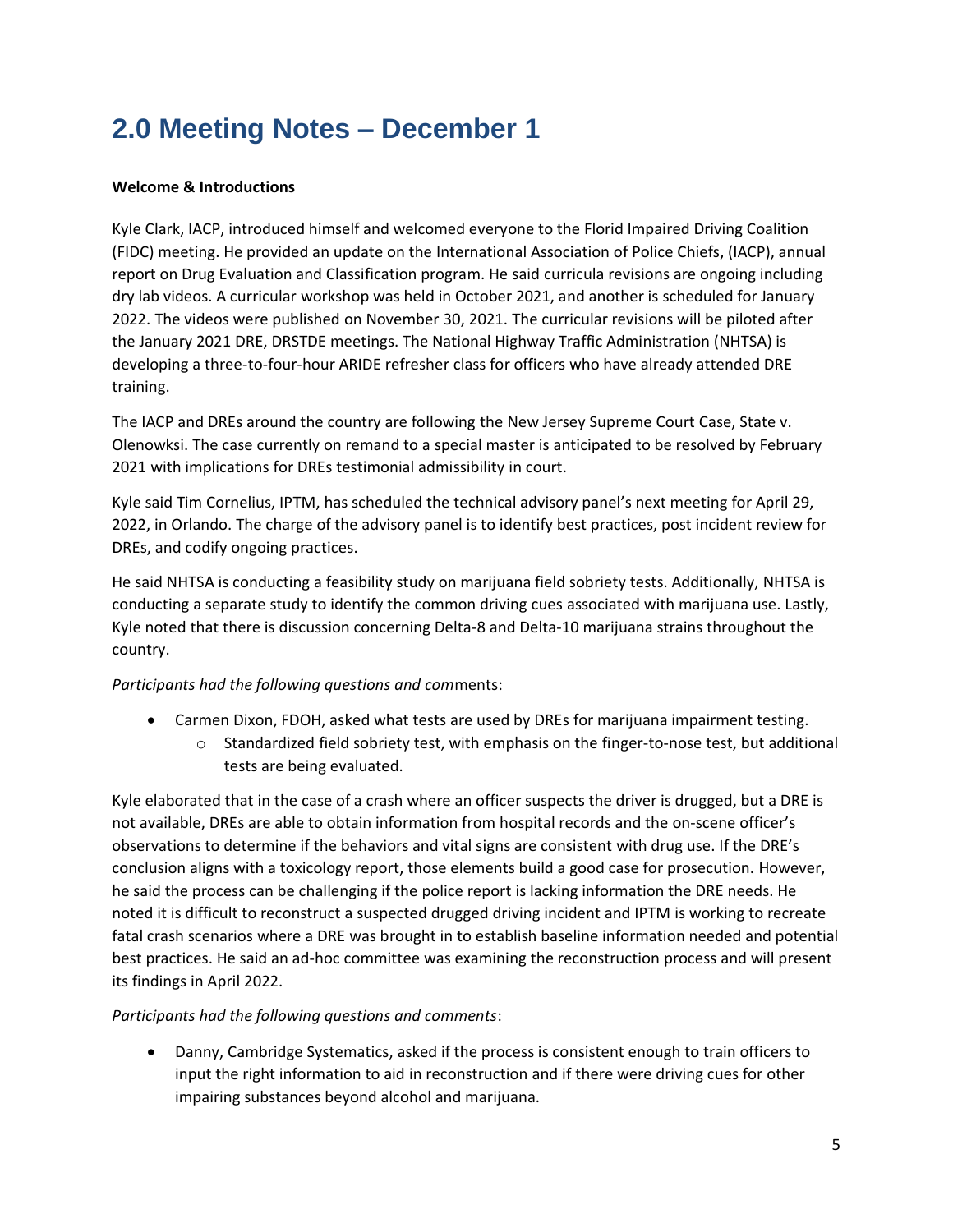# **2.0 Meeting Notes – December 1**

# **Welcome & Introductions**

Kyle Clark, IACP, introduced himself and welcomed everyone to the Florid Impaired Driving Coalition (FIDC) meeting. He provided an update on the International Association of Police Chiefs, (IACP), annual report on Drug Evaluation and Classification program. He said curricula revisions are ongoing including dry lab videos. A curricular workshop was held in October 2021, and another is scheduled for January 2022. The videos were published on November 30, 2021. The curricular revisions will be piloted after the January 2021 DRE, DRSTDE meetings. The National Highway Traffic Administration (NHTSA) is developing a three-to-four-hour ARIDE refresher class for officers who have already attended DRE training.

The IACP and DREs around the country are following the New Jersey Supreme Court Case, State v. Olenowksi. The case currently on remand to a special master is anticipated to be resolved by February 2021 with implications for DREs testimonial admissibility in court.

Kyle said Tim Cornelius, IPTM, has scheduled the technical advisory panel's next meeting for April 29, 2022, in Orlando. The charge of the advisory panel is to identify best practices, post incident review for DREs, and codify ongoing practices.

He said NHTSA is conducting a feasibility study on marijuana field sobriety tests. Additionally, NHTSA is conducting a separate study to identify the common driving cues associated with marijuana use. Lastly, Kyle noted that there is discussion concerning Delta-8 and Delta-10 marijuana strains throughout the country.

# *Participants had the following questions and com*ments:

- Carmen Dixon, FDOH, asked what tests are used by DREs for marijuana impairment testing.
	- $\circ$  Standardized field sobriety test, with emphasis on the finger-to-nose test, but additional tests are being evaluated.

Kyle elaborated that in the case of a crash where an officer suspects the driver is drugged, but a DRE is not available, DREs are able to obtain information from hospital records and the on-scene officer's observations to determine if the behaviors and vital signs are consistent with drug use. If the DRE's conclusion aligns with a toxicology report, those elements build a good case for prosecution. However, he said the process can be challenging if the police report is lacking information the DRE needs. He noted it is difficult to reconstruct a suspected drugged driving incident and IPTM is working to recreate fatal crash scenarios where a DRE was brought in to establish baseline information needed and potential best practices. He said an ad-hoc committee was examining the reconstruction process and will present its findings in April 2022.

# *Participants had the following questions and comments*:

• Danny, Cambridge Systematics, asked if the process is consistent enough to train officers to input the right information to aid in reconstruction and if there were driving cues for other impairing substances beyond alcohol and marijuana.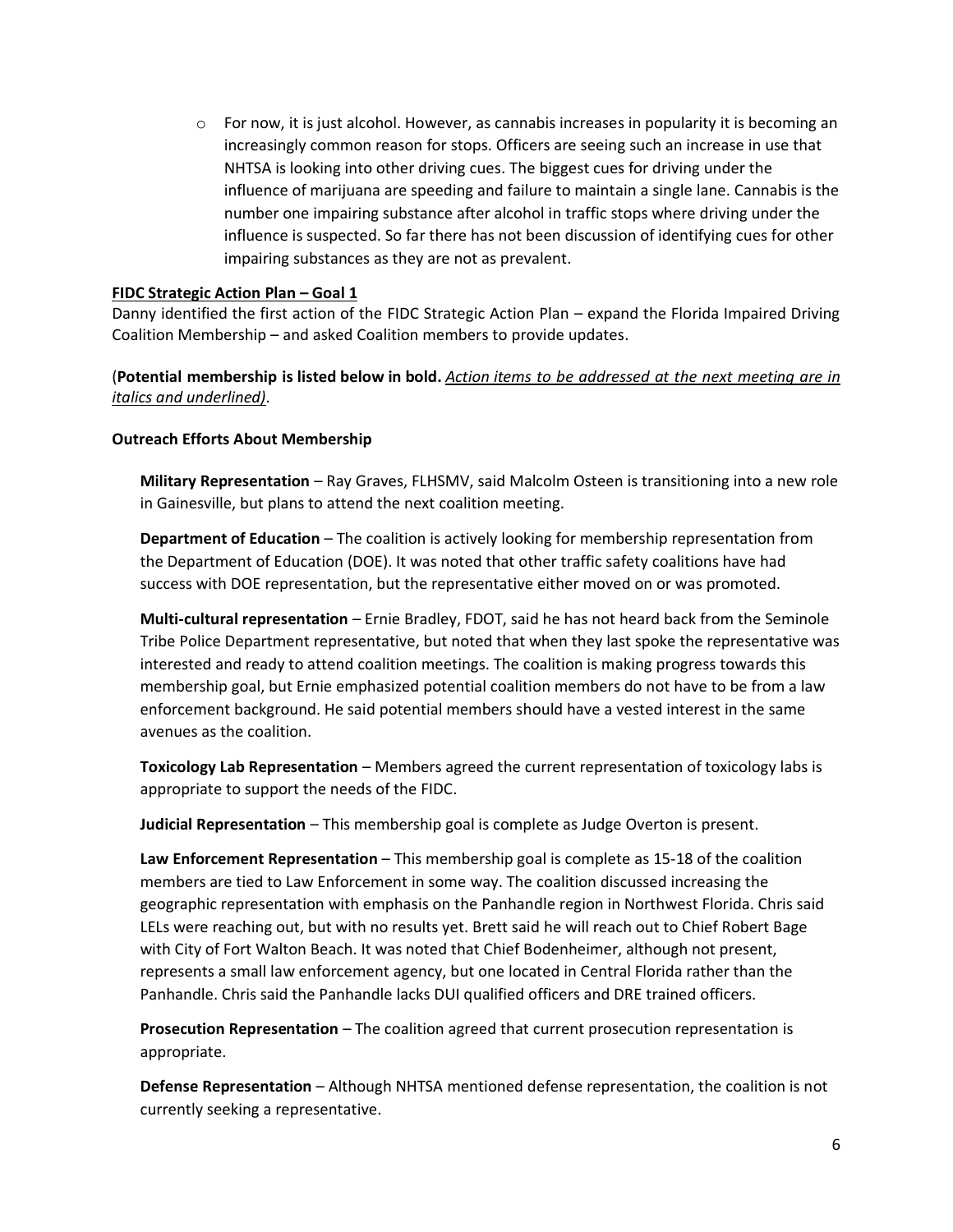$\circ$  For now, it is just alcohol. However, as cannabis increases in popularity it is becoming an increasingly common reason for stops. Officers are seeing such an increase in use that NHTSA is looking into other driving cues. The biggest cues for driving under the influence of marijuana are speeding and failure to maintain a single lane. Cannabis is the number one impairing substance after alcohol in traffic stops where driving under the influence is suspected. So far there has not been discussion of identifying cues for other impairing substances as they are not as prevalent.

#### **FIDC Strategic Action Plan – Goal 1**

Danny identified the first action of the FIDC Strategic Action Plan – expand the Florida Impaired Driving Coalition Membership – and asked Coalition members to provide updates.

#### (**Potential membership is listed below in bold.** *Action items to be addressed at the next meeting are in italics and underlined)*.

#### **Outreach Efforts About Membership**

**Military Representation** – Ray Graves, FLHSMV, said Malcolm Osteen is transitioning into a new role in Gainesville, but plans to attend the next coalition meeting.

**Department of Education** – The coalition is actively looking for membership representation from the Department of Education (DOE). It was noted that other traffic safety coalitions have had success with DOE representation, but the representative either moved on or was promoted.

**Multi-cultural representation** – Ernie Bradley, FDOT, said he has not heard back from the Seminole Tribe Police Department representative, but noted that when they last spoke the representative was interested and ready to attend coalition meetings. The coalition is making progress towards this membership goal, but Ernie emphasized potential coalition members do not have to be from a law enforcement background. He said potential members should have a vested interest in the same avenues as the coalition.

**Toxicology Lab Representation** – Members agreed the current representation of toxicology labs is appropriate to support the needs of the FIDC.

**Judicial Representation** – This membership goal is complete as Judge Overton is present.

**Law Enforcement Representation** – This membership goal is complete as 15-18 of the coalition members are tied to Law Enforcement in some way. The coalition discussed increasing the geographic representation with emphasis on the Panhandle region in Northwest Florida. Chris said LELs were reaching out, but with no results yet. Brett said he will reach out to Chief Robert Bage with City of Fort Walton Beach. It was noted that Chief Bodenheimer, although not present, represents a small law enforcement agency, but one located in Central Florida rather than the Panhandle. Chris said the Panhandle lacks DUI qualified officers and DRE trained officers.

**Prosecution Representation** – The coalition agreed that current prosecution representation is appropriate.

**Defense Representation** – Although NHTSA mentioned defense representation, the coalition is not currently seeking a representative.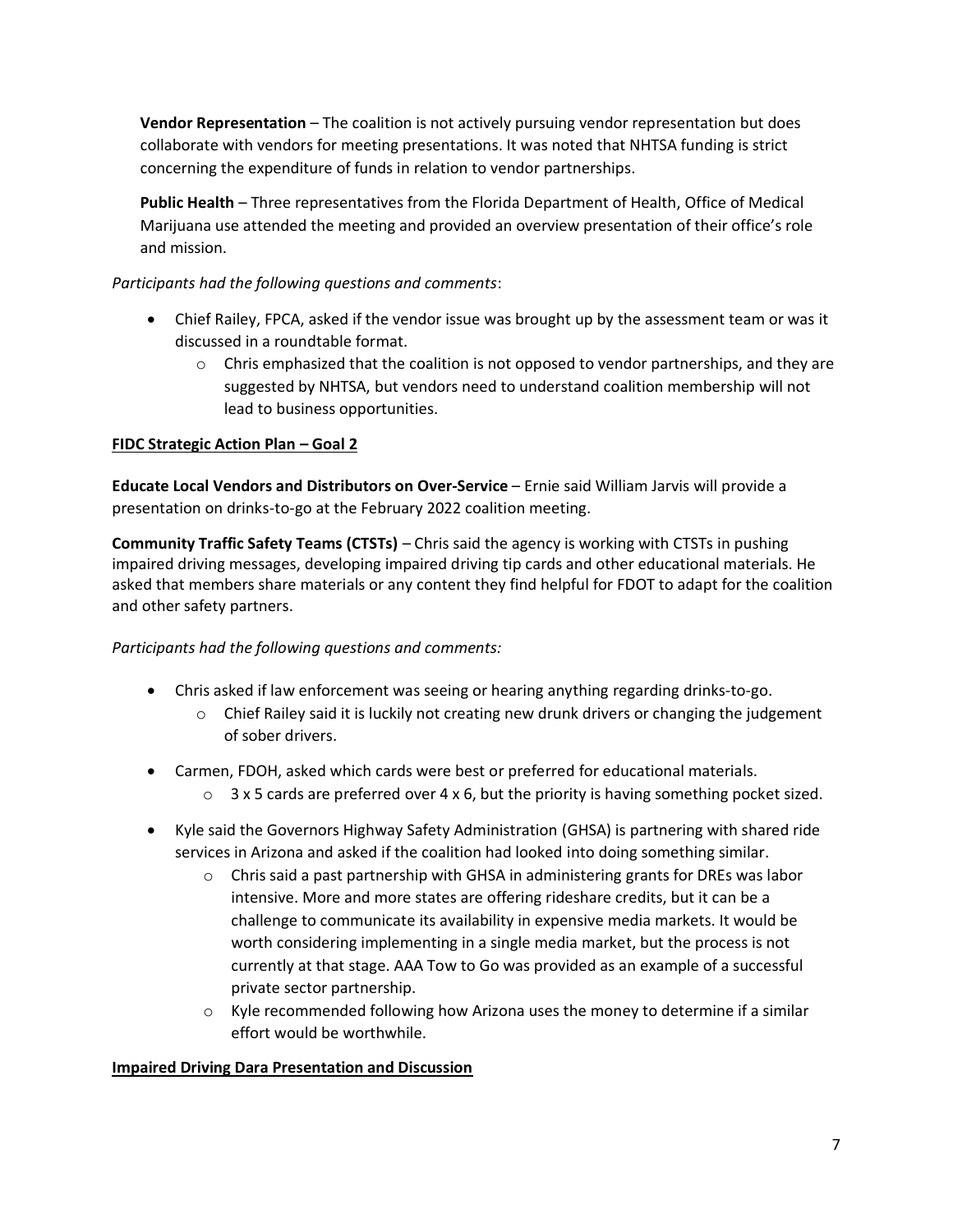**Vendor Representation** – The coalition is not actively pursuing vendor representation but does collaborate with vendors for meeting presentations. It was noted that NHTSA funding is strict concerning the expenditure of funds in relation to vendor partnerships.

**Public Health** – Three representatives from the Florida Department of Health, Office of Medical Marijuana use attended the meeting and provided an overview presentation of their office's role and mission.

# *Participants had the following questions and comments*:

- Chief Railey, FPCA, asked if the vendor issue was brought up by the assessment team or was it discussed in a roundtable format.
	- $\circ$  Chris emphasized that the coalition is not opposed to vendor partnerships, and they are suggested by NHTSA, but vendors need to understand coalition membership will not lead to business opportunities.

# **FIDC Strategic Action Plan – Goal 2**

**Educate Local Vendors and Distributors on Over-Service** – Ernie said William Jarvis will provide a presentation on drinks-to-go at the February 2022 coalition meeting.

**Community Traffic Safety Teams (CTSTs)** – Chris said the agency is working with CTSTs in pushing impaired driving messages, developing impaired driving tip cards and other educational materials. He asked that members share materials or any content they find helpful for FDOT to adapt for the coalition and other safety partners.

# *Participants had the following questions and comments:*

- Chris asked if law enforcement was seeing or hearing anything regarding drinks-to-go.
	- $\circ$  Chief Railey said it is luckily not creating new drunk drivers or changing the judgement of sober drivers.
- Carmen, FDOH, asked which cards were best or preferred for educational materials.
	- $\circ$  3 x 5 cards are preferred over 4 x 6, but the priority is having something pocket sized.
- Kyle said the Governors Highway Safety Administration (GHSA) is partnering with shared ride services in Arizona and asked if the coalition had looked into doing something similar.
	- $\circ$  Chris said a past partnership with GHSA in administering grants for DREs was labor intensive. More and more states are offering rideshare credits, but it can be a challenge to communicate its availability in expensive media markets. It would be worth considering implementing in a single media market, but the process is not currently at that stage. AAA Tow to Go was provided as an example of a successful private sector partnership.
	- $\circ$  Kyle recommended following how Arizona uses the money to determine if a similar effort would be worthwhile.

# **Impaired Driving Dara Presentation and Discussion**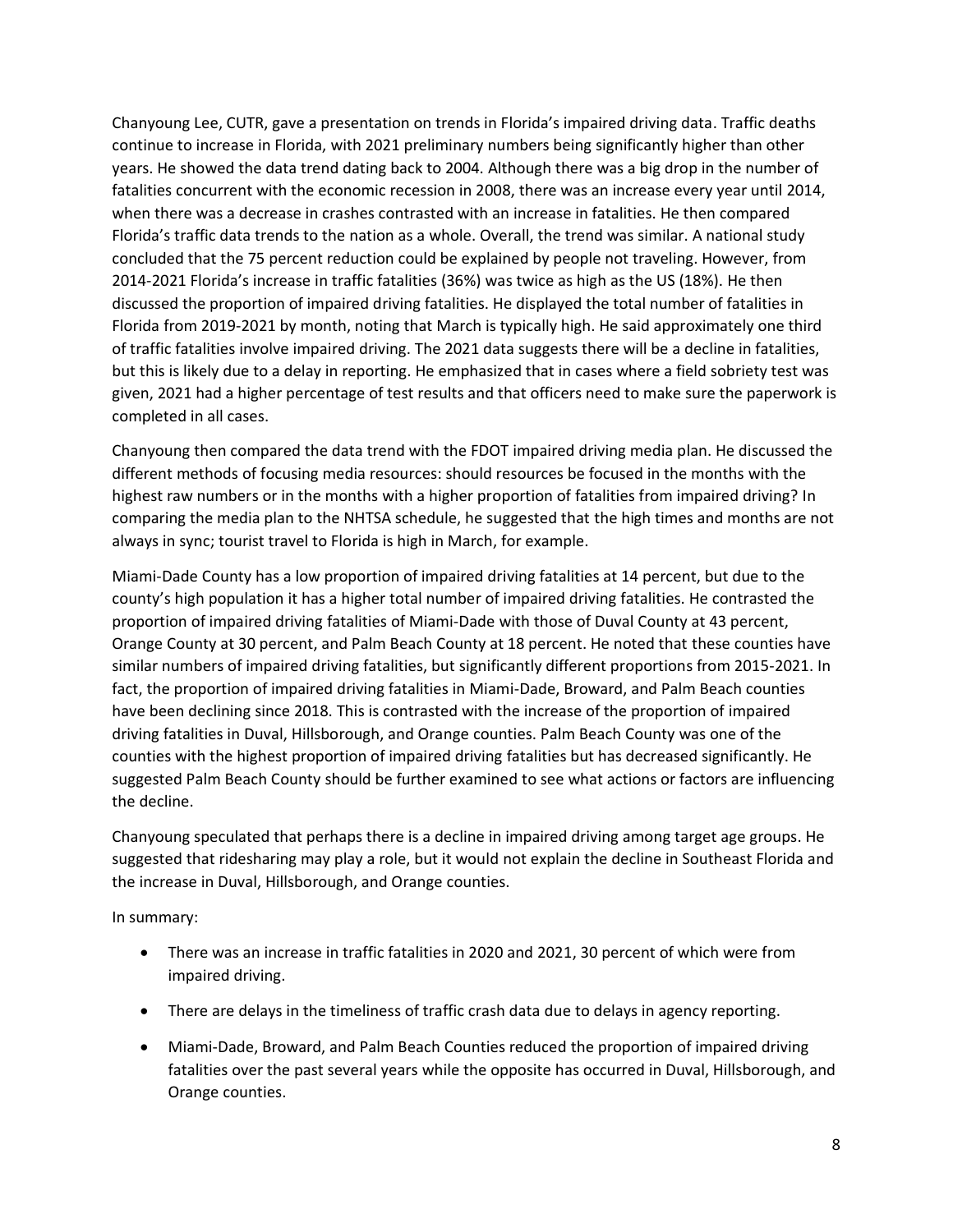Chanyoung Lee, CUTR, gave a presentation on trends in Florida's impaired driving data. Traffic deaths continue to increase in Florida, with 2021 preliminary numbers being significantly higher than other years. He showed the data trend dating back to 2004. Although there was a big drop in the number of fatalities concurrent with the economic recession in 2008, there was an increase every year until 2014, when there was a decrease in crashes contrasted with an increase in fatalities. He then compared Florida's traffic data trends to the nation as a whole. Overall, the trend was similar. A national study concluded that the 75 percent reduction could be explained by people not traveling. However, from 2014-2021 Florida's increase in traffic fatalities (36%) was twice as high as the US (18%). He then discussed the proportion of impaired driving fatalities. He displayed the total number of fatalities in Florida from 2019-2021 by month, noting that March is typically high. He said approximately one third of traffic fatalities involve impaired driving. The 2021 data suggests there will be a decline in fatalities, but this is likely due to a delay in reporting. He emphasized that in cases where a field sobriety test was given, 2021 had a higher percentage of test results and that officers need to make sure the paperwork is completed in all cases.

Chanyoung then compared the data trend with the FDOT impaired driving media plan. He discussed the different methods of focusing media resources: should resources be focused in the months with the highest raw numbers or in the months with a higher proportion of fatalities from impaired driving? In comparing the media plan to the NHTSA schedule, he suggested that the high times and months are not always in sync; tourist travel to Florida is high in March, for example.

Miami-Dade County has a low proportion of impaired driving fatalities at 14 percent, but due to the county's high population it has a higher total number of impaired driving fatalities. He contrasted the proportion of impaired driving fatalities of Miami-Dade with those of Duval County at 43 percent, Orange County at 30 percent, and Palm Beach County at 18 percent. He noted that these counties have similar numbers of impaired driving fatalities, but significantly different proportions from 2015-2021. In fact, the proportion of impaired driving fatalities in Miami-Dade, Broward, and Palm Beach counties have been declining since 2018. This is contrasted with the increase of the proportion of impaired driving fatalities in Duval, Hillsborough, and Orange counties. Palm Beach County was one of the counties with the highest proportion of impaired driving fatalities but has decreased significantly. He suggested Palm Beach County should be further examined to see what actions or factors are influencing the decline.

Chanyoung speculated that perhaps there is a decline in impaired driving among target age groups. He suggested that ridesharing may play a role, but it would not explain the decline in Southeast Florida and the increase in Duval, Hillsborough, and Orange counties.

In summary:

- There was an increase in traffic fatalities in 2020 and 2021, 30 percent of which were from impaired driving.
- There are delays in the timeliness of traffic crash data due to delays in agency reporting.
- Miami-Dade, Broward, and Palm Beach Counties reduced the proportion of impaired driving fatalities over the past several years while the opposite has occurred in Duval, Hillsborough, and Orange counties.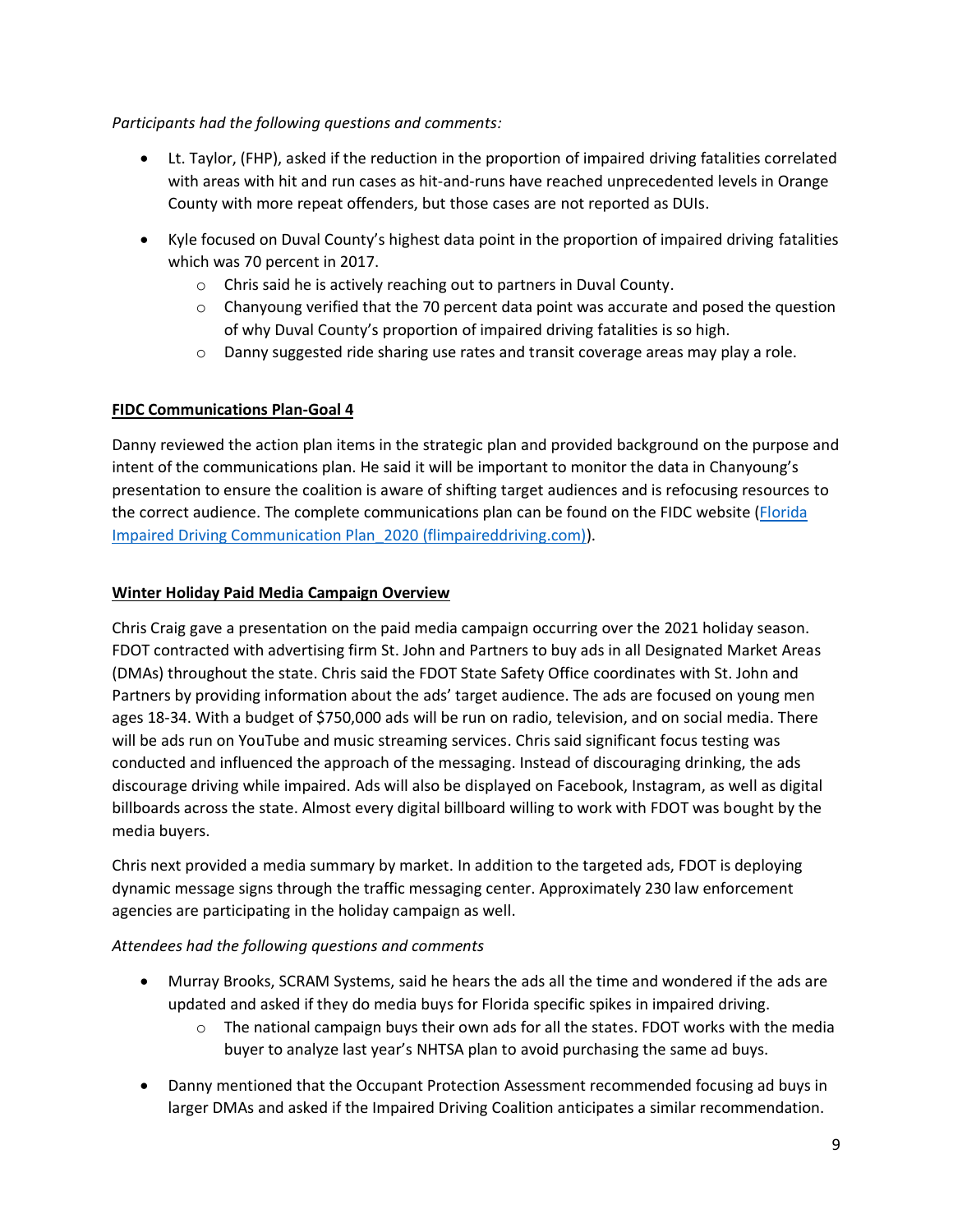#### *Participants had the following questions and comments:*

- Lt. Taylor, (FHP), asked if the reduction in the proportion of impaired driving fatalities correlated with areas with hit and run cases as hit-and-runs have reached unprecedented levels in Orange County with more repeat offenders, but those cases are not reported as DUIs.
- Kyle focused on Duval County's highest data point in the proportion of impaired driving fatalities which was 70 percent in 2017.
	- o Chris said he is actively reaching out to partners in Duval County.
	- $\circ$  Chanyoung verified that the 70 percent data point was accurate and posed the question of why Duval County's proportion of impaired driving fatalities is so high.
	- $\circ$  Danny suggested ride sharing use rates and transit coverage areas may play a role.

# **FIDC Communications Plan-Goal 4**

Danny reviewed the action plan items in the strategic plan and provided background on the purpose and intent of the communications plan. He said it will be important to monitor the data in Chanyoung's presentation to ensure the coalition is aware of shifting target audiences and is refocusing resources to the correct audience. The complete communications plan can be found on the FIDC website [\(Florida](http://flimpaireddriving.com/pdf/Florida%20Impaired%20Driving%20Communications%20Plan_2020.pdf)  [Impaired Driving Communication Plan\\_2020 \(flimpaireddriving.com\)\)](http://flimpaireddriving.com/pdf/Florida%20Impaired%20Driving%20Communications%20Plan_2020.pdf).

#### **Winter Holiday Paid Media Campaign Overview**

Chris Craig gave a presentation on the paid media campaign occurring over the 2021 holiday season. FDOT contracted with advertising firm St. John and Partners to buy ads in all Designated Market Areas (DMAs) throughout the state. Chris said the FDOT State Safety Office coordinates with St. John and Partners by providing information about the ads' target audience. The ads are focused on young men ages 18-34. With a budget of \$750,000 ads will be run on radio, television, and on social media. There will be ads run on YouTube and music streaming services. Chris said significant focus testing was conducted and influenced the approach of the messaging. Instead of discouraging drinking, the ads discourage driving while impaired. Ads will also be displayed on Facebook, Instagram, as well as digital billboards across the state. Almost every digital billboard willing to work with FDOT was bought by the media buyers.

Chris next provided a media summary by market. In addition to the targeted ads, FDOT is deploying dynamic message signs through the traffic messaging center. Approximately 230 law enforcement agencies are participating in the holiday campaign as well.

# *Attendees had the following questions and comments*

- Murray Brooks, SCRAM Systems, said he hears the ads all the time and wondered if the ads are updated and asked if they do media buys for Florida specific spikes in impaired driving.
	- $\circ$  The national campaign buys their own ads for all the states. FDOT works with the media buyer to analyze last year's NHTSA plan to avoid purchasing the same ad buys.
- Danny mentioned that the Occupant Protection Assessment recommended focusing ad buys in larger DMAs and asked if the Impaired Driving Coalition anticipates a similar recommendation.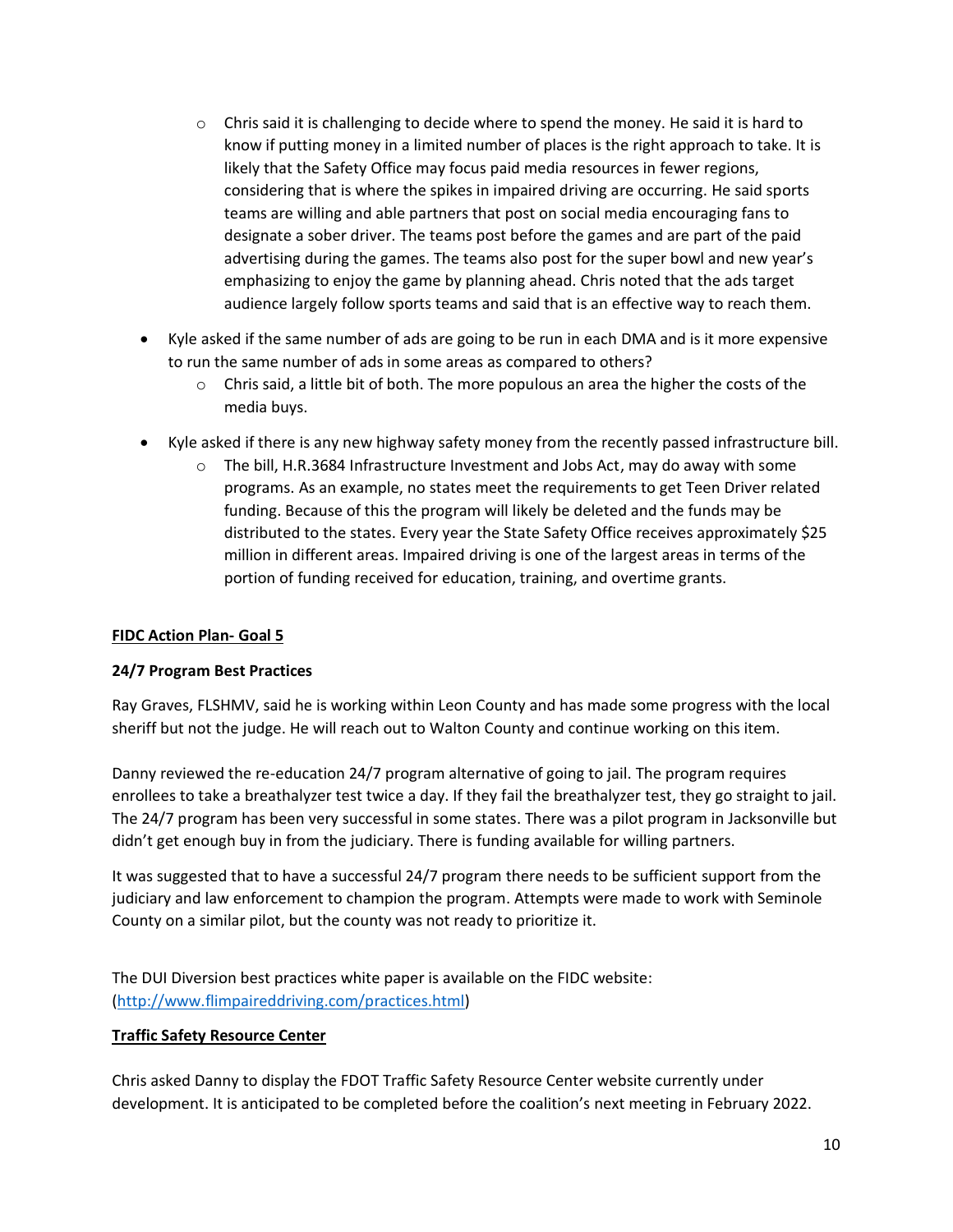- $\circ$  Chris said it is challenging to decide where to spend the money. He said it is hard to know if putting money in a limited number of places is the right approach to take. It is likely that the Safety Office may focus paid media resources in fewer regions, considering that is where the spikes in impaired driving are occurring. He said sports teams are willing and able partners that post on social media encouraging fans to designate a sober driver. The teams post before the games and are part of the paid advertising during the games. The teams also post for the super bowl and new year's emphasizing to enjoy the game by planning ahead. Chris noted that the ads target audience largely follow sports teams and said that is an effective way to reach them.
- Kyle asked if the same number of ads are going to be run in each DMA and is it more expensive to run the same number of ads in some areas as compared to others?
	- $\circ$  Chris said, a little bit of both. The more populous an area the higher the costs of the media buys.
- Kyle asked if there is any new highway safety money from the recently passed infrastructure bill.
	- $\circ$  The bill, H.R.3684 Infrastructure Investment and Jobs Act, may do away with some programs. As an example, no states meet the requirements to get Teen Driver related funding. Because of this the program will likely be deleted and the funds may be distributed to the states. Every year the State Safety Office receives approximately \$25 million in different areas. Impaired driving is one of the largest areas in terms of the portion of funding received for education, training, and overtime grants.

#### **FIDC Action Plan- Goal 5**

#### **24/7 Program Best Practices**

Ray Graves, FLSHMV, said he is working within Leon County and has made some progress with the local sheriff but not the judge. He will reach out to Walton County and continue working on this item.

Danny reviewed the re-education 24/7 program alternative of going to jail. The program requires enrollees to take a breathalyzer test twice a day. If they fail the breathalyzer test, they go straight to jail. The 24/7 program has been very successful in some states. There was a pilot program in Jacksonville but didn't get enough buy in from the judiciary. There is funding available for willing partners.

It was suggested that to have a successful 24/7 program there needs to be sufficient support from the judiciary and law enforcement to champion the program. Attempts were made to work with Seminole County on a similar pilot, but the county was not ready to prioritize it.

The DUI Diversion best practices white paper is available on the FIDC website: [\(http://www.flimpaireddriving.com/practices.html\)](http://www.flimpaireddriving.com/practices.html)

#### **Traffic Safety Resource Center**

Chris asked Danny to display the FDOT Traffic Safety Resource Center website currently under development. It is anticipated to be completed before the coalition's next meeting in February 2022.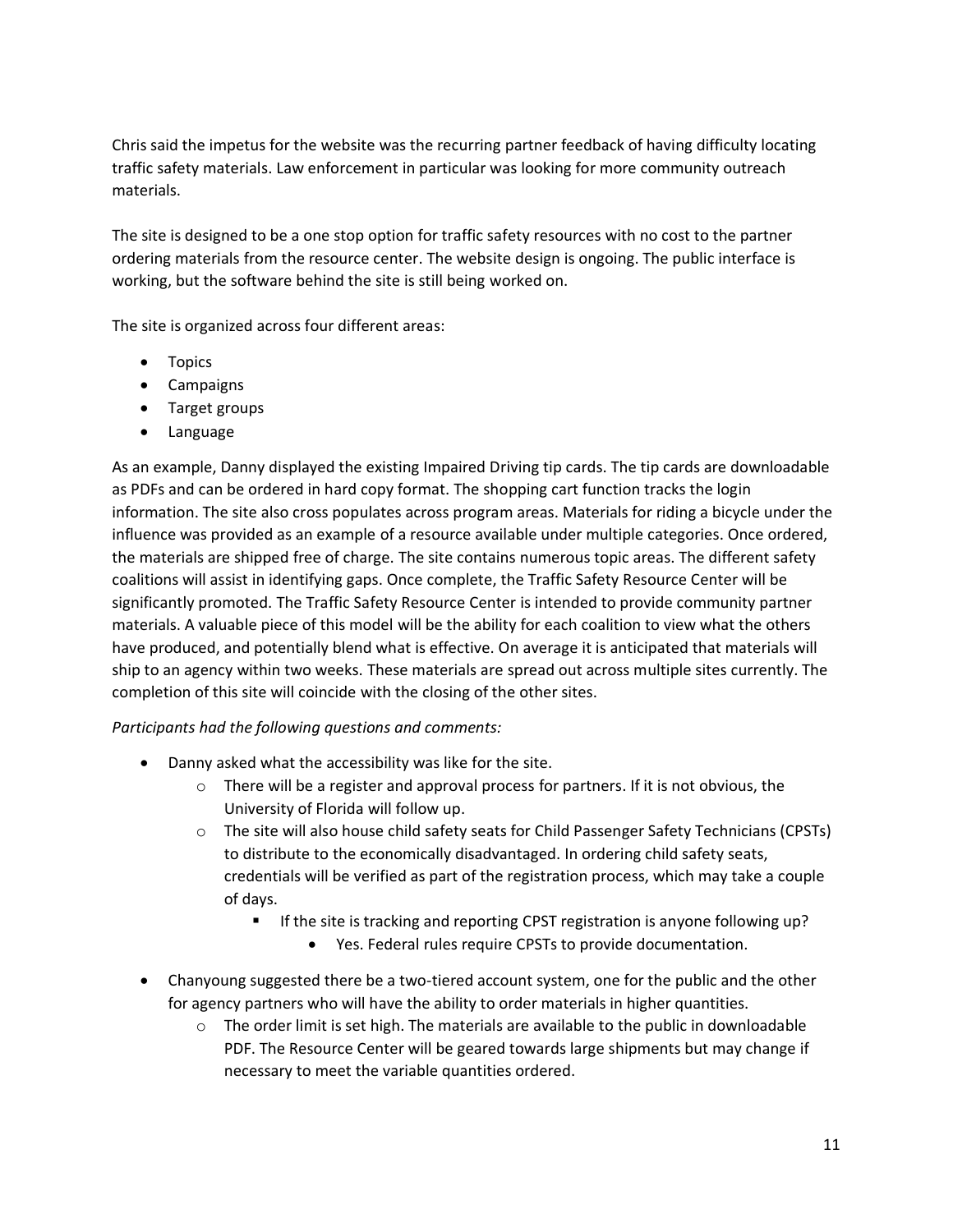Chris said the impetus for the website was the recurring partner feedback of having difficulty locating traffic safety materials. Law enforcement in particular was looking for more community outreach materials.

The site is designed to be a one stop option for traffic safety resources with no cost to the partner ordering materials from the resource center. The website design is ongoing. The public interface is working, but the software behind the site is still being worked on.

The site is organized across four different areas:

- Topics
- Campaigns
- Target groups
- Language

As an example, Danny displayed the existing Impaired Driving tip cards. The tip cards are downloadable as PDFs and can be ordered in hard copy format. The shopping cart function tracks the login information. The site also cross populates across program areas. Materials for riding a bicycle under the influence was provided as an example of a resource available under multiple categories. Once ordered, the materials are shipped free of charge. The site contains numerous topic areas. The different safety coalitions will assist in identifying gaps. Once complete, the Traffic Safety Resource Center will be significantly promoted. The Traffic Safety Resource Center is intended to provide community partner materials. A valuable piece of this model will be the ability for each coalition to view what the others have produced, and potentially blend what is effective. On average it is anticipated that materials will ship to an agency within two weeks. These materials are spread out across multiple sites currently. The completion of this site will coincide with the closing of the other sites.

#### *Participants had the following questions and comments:*

- Danny asked what the accessibility was like for the site.
	- $\circ$  There will be a register and approval process for partners. If it is not obvious, the University of Florida will follow up.
	- o The site will also house child safety seats for Child Passenger Safety Technicians (CPSTs) to distribute to the economically disadvantaged. In ordering child safety seats, credentials will be verified as part of the registration process, which may take a couple of days.
		- **■** If the site is tracking and reporting CPST registration is anyone following up?
			- Yes. Federal rules require CPSTs to provide documentation.
- Chanyoung suggested there be a two-tiered account system, one for the public and the other for agency partners who will have the ability to order materials in higher quantities.
	- $\circ$  The order limit is set high. The materials are available to the public in downloadable PDF. The Resource Center will be geared towards large shipments but may change if necessary to meet the variable quantities ordered.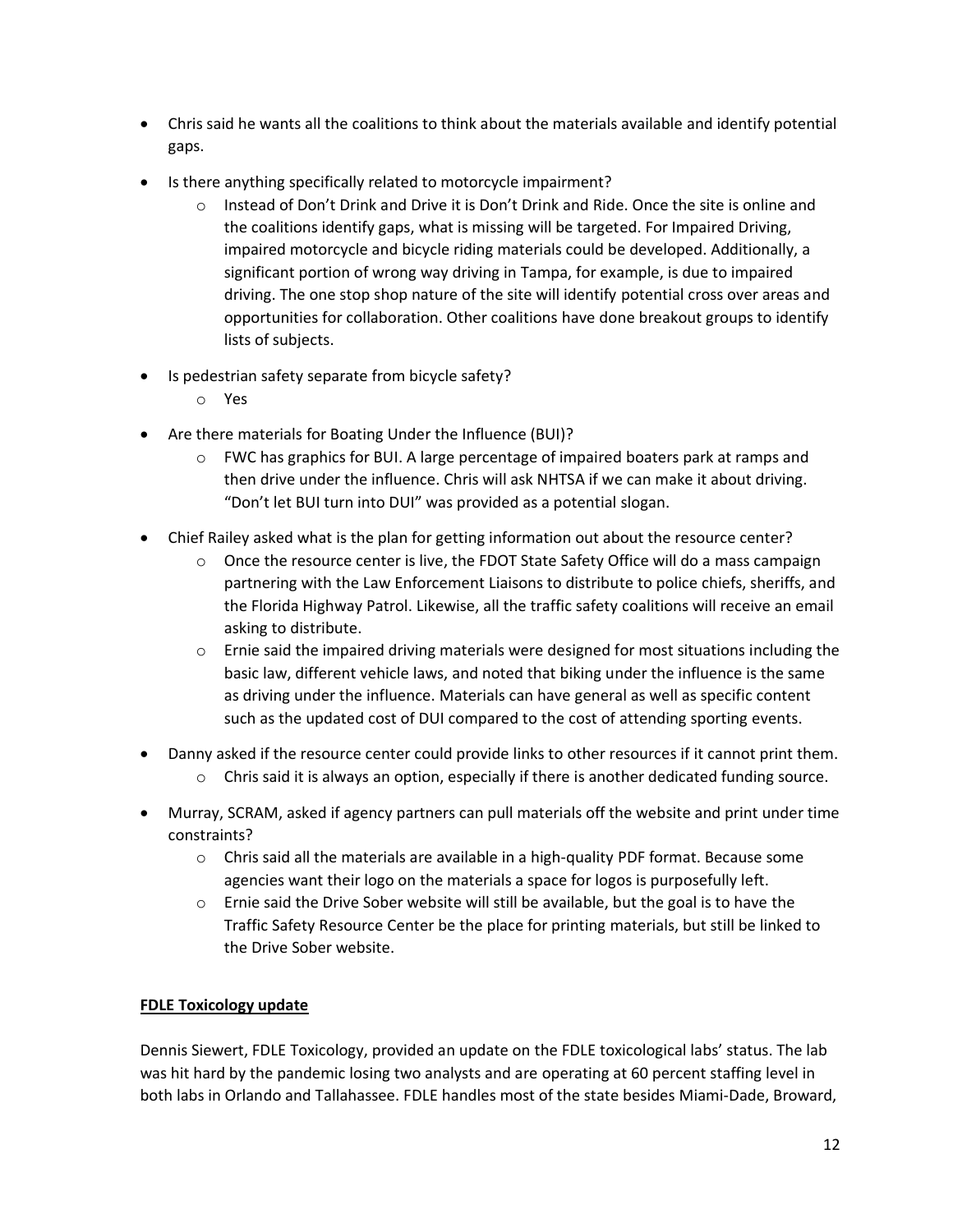- Chris said he wants all the coalitions to think about the materials available and identify potential gaps.
- Is there anything specifically related to motorcycle impairment?
	- o Instead of Don't Drink and Drive it is Don't Drink and Ride. Once the site is online and the coalitions identify gaps, what is missing will be targeted. For Impaired Driving, impaired motorcycle and bicycle riding materials could be developed. Additionally, a significant portion of wrong way driving in Tampa, for example, is due to impaired driving. The one stop shop nature of the site will identify potential cross over areas and opportunities for collaboration. Other coalitions have done breakout groups to identify lists of subjects.
- Is pedestrian safety separate from bicycle safety?
	- o Yes
- Are there materials for Boating Under the Influence (BUI)?
	- $\circ$  FWC has graphics for BUI. A large percentage of impaired boaters park at ramps and then drive under the influence. Chris will ask NHTSA if we can make it about driving. "Don't let BUI turn into DUI" was provided as a potential slogan.
- Chief Railey asked what is the plan for getting information out about the resource center?
	- $\circ$  Once the resource center is live, the FDOT State Safety Office will do a mass campaign partnering with the Law Enforcement Liaisons to distribute to police chiefs, sheriffs, and the Florida Highway Patrol. Likewise, all the traffic safety coalitions will receive an email asking to distribute.
	- $\circ$  Ernie said the impaired driving materials were designed for most situations including the basic law, different vehicle laws, and noted that biking under the influence is the same as driving under the influence. Materials can have general as well as specific content such as the updated cost of DUI compared to the cost of attending sporting events.
- Danny asked if the resource center could provide links to other resources if it cannot print them.
	- $\circ$  Chris said it is always an option, especially if there is another dedicated funding source.
- Murray, SCRAM, asked if agency partners can pull materials off the website and print under time constraints?
	- $\circ$  Chris said all the materials are available in a high-quality PDF format. Because some agencies want their logo on the materials a space for logos is purposefully left.
	- $\circ$  Ernie said the Drive Sober website will still be available, but the goal is to have the Traffic Safety Resource Center be the place for printing materials, but still be linked to the Drive Sober website.

# **FDLE Toxicology update**

Dennis Siewert, FDLE Toxicology, provided an update on the FDLE toxicological labs' status. The lab was hit hard by the pandemic losing two analysts and are operating at 60 percent staffing level in both labs in Orlando and Tallahassee. FDLE handles most of the state besides Miami-Dade, Broward,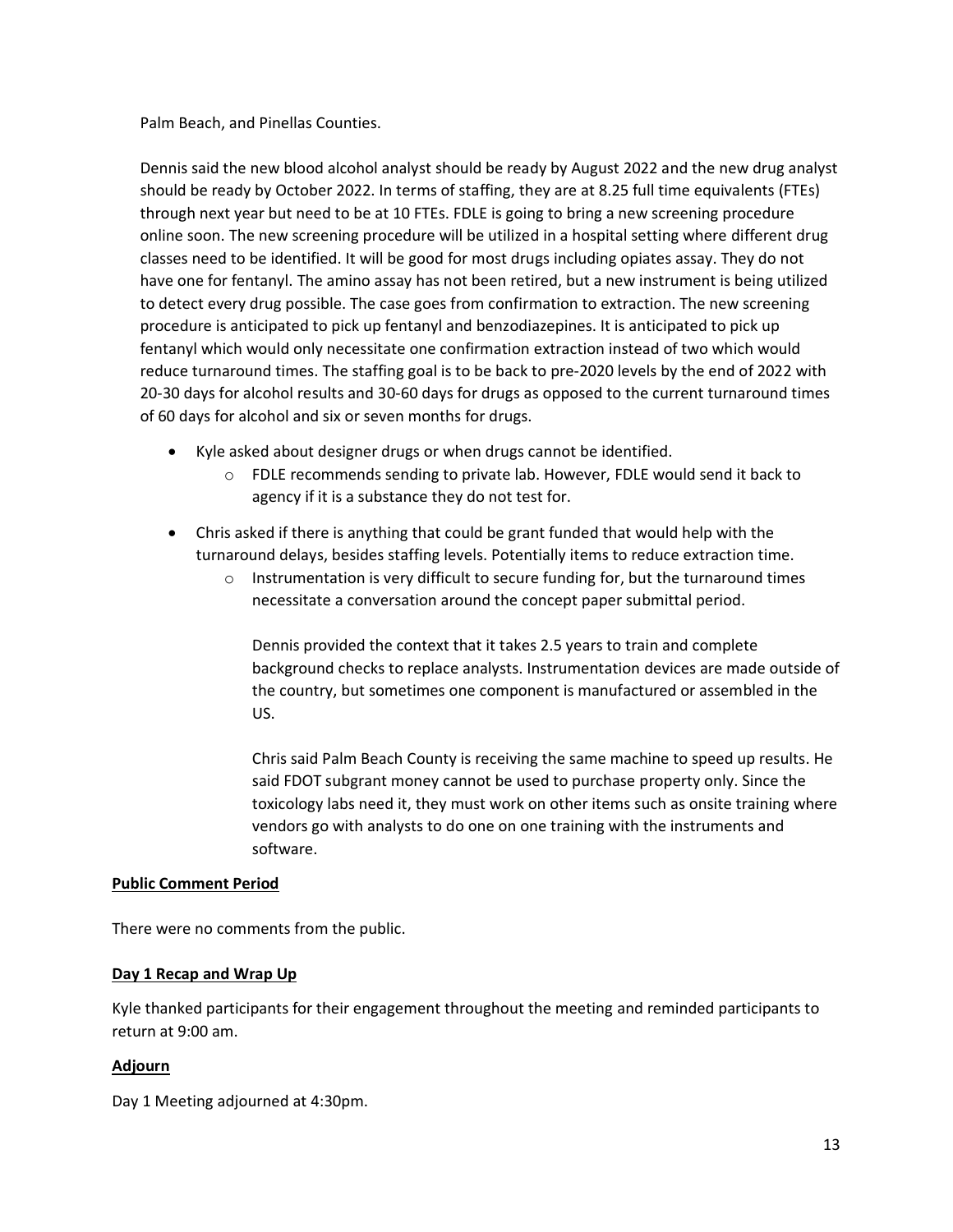Palm Beach, and Pinellas Counties.

Dennis said the new blood alcohol analyst should be ready by August 2022 and the new drug analyst should be ready by October 2022. In terms of staffing, they are at 8.25 full time equivalents (FTEs) through next year but need to be at 10 FTEs. FDLE is going to bring a new screening procedure online soon. The new screening procedure will be utilized in a hospital setting where different drug classes need to be identified. It will be good for most drugs including opiates assay. They do not have one for fentanyl. The amino assay has not been retired, but a new instrument is being utilized to detect every drug possible. The case goes from confirmation to extraction. The new screening procedure is anticipated to pick up fentanyl and benzodiazepines. It is anticipated to pick up fentanyl which would only necessitate one confirmation extraction instead of two which would reduce turnaround times. The staffing goal is to be back to pre-2020 levels by the end of 2022 with 20-30 days for alcohol results and 30-60 days for drugs as opposed to the current turnaround times of 60 days for alcohol and six or seven months for drugs.

- Kyle asked about designer drugs or when drugs cannot be identified.
	- o FDLE recommends sending to private lab. However, FDLE would send it back to agency if it is a substance they do not test for.
- Chris asked if there is anything that could be grant funded that would help with the turnaround delays, besides staffing levels. Potentially items to reduce extraction time.
	- $\circ$  Instrumentation is very difficult to secure funding for, but the turnaround times necessitate a conversation around the concept paper submittal period.

Dennis provided the context that it takes 2.5 years to train and complete background checks to replace analysts. Instrumentation devices are made outside of the country, but sometimes one component is manufactured or assembled in the US.

Chris said Palm Beach County is receiving the same machine to speed up results. He said FDOT subgrant money cannot be used to purchase property only. Since the toxicology labs need it, they must work on other items such as onsite training where vendors go with analysts to do one on one training with the instruments and software.

#### **Public Comment Period**

There were no comments from the public.

#### **Day 1 Recap and Wrap Up**

Kyle thanked participants for their engagement throughout the meeting and reminded participants to return at 9:00 am.

#### **Adjourn**

Day 1 Meeting adjourned at 4:30pm.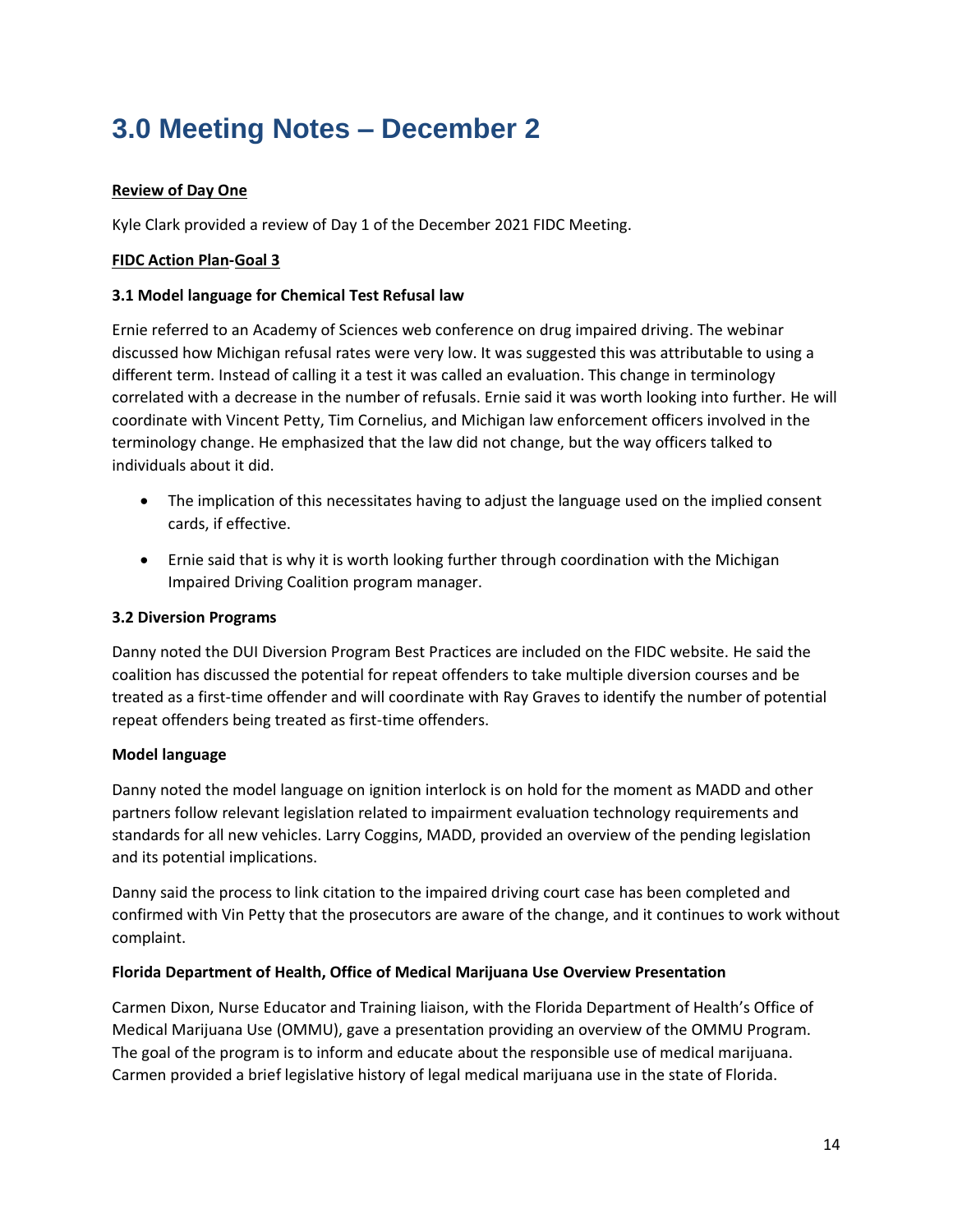# **3.0 Meeting Notes – December 2**

# **Review of Day One**

Kyle Clark provided a review of Day 1 of the December 2021 FIDC Meeting.

# **FIDC Action Plan-Goal 3**

#### **3.1 Model language for Chemical Test Refusal law**

Ernie referred to an Academy of Sciences web conference on drug impaired driving. The webinar discussed how Michigan refusal rates were very low. It was suggested this was attributable to using a different term. Instead of calling it a test it was called an evaluation. This change in terminology correlated with a decrease in the number of refusals. Ernie said it was worth looking into further. He will coordinate with Vincent Petty, Tim Cornelius, and Michigan law enforcement officers involved in the terminology change. He emphasized that the law did not change, but the way officers talked to individuals about it did.

- The implication of this necessitates having to adjust the language used on the implied consent cards, if effective.
- Ernie said that is why it is worth looking further through coordination with the Michigan Impaired Driving Coalition program manager.

#### **3.2 Diversion Programs**

Danny noted the DUI Diversion Program Best Practices are included on the FIDC website. He said the coalition has discussed the potential for repeat offenders to take multiple diversion courses and be treated as a first-time offender and will coordinate with Ray Graves to identify the number of potential repeat offenders being treated as first-time offenders.

#### **Model language**

Danny noted the model language on ignition interlock is on hold for the moment as MADD and other partners follow relevant legislation related to impairment evaluation technology requirements and standards for all new vehicles. Larry Coggins, MADD, provided an overview of the pending legislation and its potential implications.

Danny said the process to link citation to the impaired driving court case has been completed and confirmed with Vin Petty that the prosecutors are aware of the change, and it continues to work without complaint.

#### **Florida Department of Health, Office of Medical Marijuana Use Overview Presentation**

Carmen Dixon, Nurse Educator and Training liaison, with the Florida Department of Health's Office of Medical Marijuana Use (OMMU), gave a presentation providing an overview of the OMMU Program. The goal of the program is to inform and educate about the responsible use of medical marijuana. Carmen provided a brief legislative history of legal medical marijuana use in the state of Florida.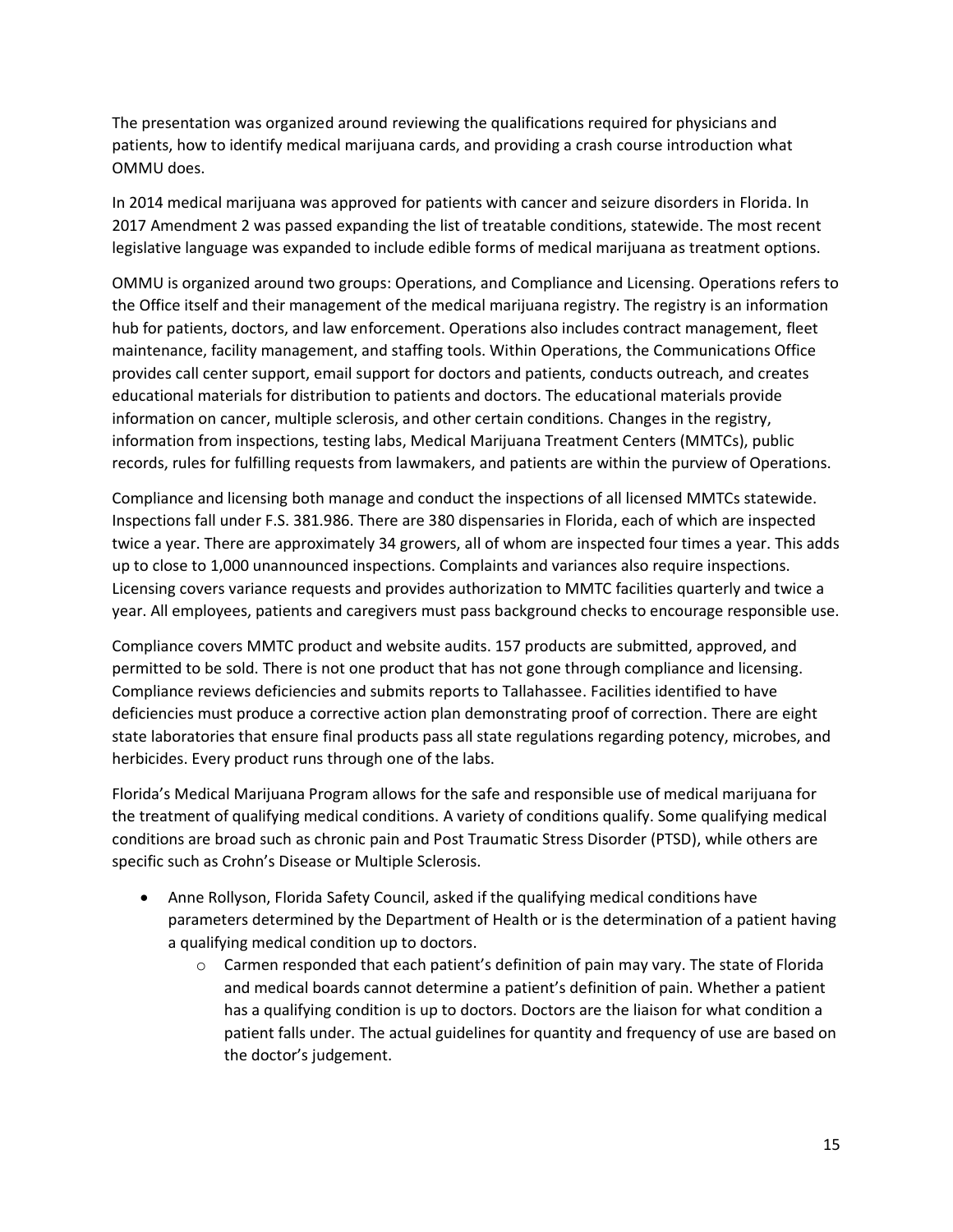The presentation was organized around reviewing the qualifications required for physicians and patients, how to identify medical marijuana cards, and providing a crash course introduction what OMMU does.

In 2014 medical marijuana was approved for patients with cancer and seizure disorders in Florida. In 2017 Amendment 2 was passed expanding the list of treatable conditions, statewide. The most recent legislative language was expanded to include edible forms of medical marijuana as treatment options.

OMMU is organized around two groups: Operations, and Compliance and Licensing. Operations refers to the Office itself and their management of the medical marijuana registry. The registry is an information hub for patients, doctors, and law enforcement. Operations also includes contract management, fleet maintenance, facility management, and staffing tools. Within Operations, the Communications Office provides call center support, email support for doctors and patients, conducts outreach, and creates educational materials for distribution to patients and doctors. The educational materials provide information on cancer, multiple sclerosis, and other certain conditions. Changes in the registry, information from inspections, testing labs, Medical Marijuana Treatment Centers (MMTCs), public records, rules for fulfilling requests from lawmakers, and patients are within the purview of Operations.

Compliance and licensing both manage and conduct the inspections of all licensed MMTCs statewide. Inspections fall under F.S. 381.986. There are 380 dispensaries in Florida, each of which are inspected twice a year. There are approximately 34 growers, all of whom are inspected four times a year. This adds up to close to 1,000 unannounced inspections. Complaints and variances also require inspections. Licensing covers variance requests and provides authorization to MMTC facilities quarterly and twice a year. All employees, patients and caregivers must pass background checks to encourage responsible use.

Compliance covers MMTC product and website audits. 157 products are submitted, approved, and permitted to be sold. There is not one product that has not gone through compliance and licensing. Compliance reviews deficiencies and submits reports to Tallahassee. Facilities identified to have deficiencies must produce a corrective action plan demonstrating proof of correction. There are eight state laboratories that ensure final products pass all state regulations regarding potency, microbes, and herbicides. Every product runs through one of the labs.

Florida's Medical Marijuana Program allows for the safe and responsible use of medical marijuana for the treatment of qualifying medical conditions. A variety of conditions qualify. Some qualifying medical conditions are broad such as chronic pain and Post Traumatic Stress Disorder (PTSD), while others are specific such as Crohn's Disease or Multiple Sclerosis.

- Anne Rollyson, Florida Safety Council, asked if the qualifying medical conditions have parameters determined by the Department of Health or is the determination of a patient having a qualifying medical condition up to doctors.
	- o Carmen responded that each patient's definition of pain may vary. The state of Florida and medical boards cannot determine a patient's definition of pain. Whether a patient has a qualifying condition is up to doctors. Doctors are the liaison for what condition a patient falls under. The actual guidelines for quantity and frequency of use are based on the doctor's judgement.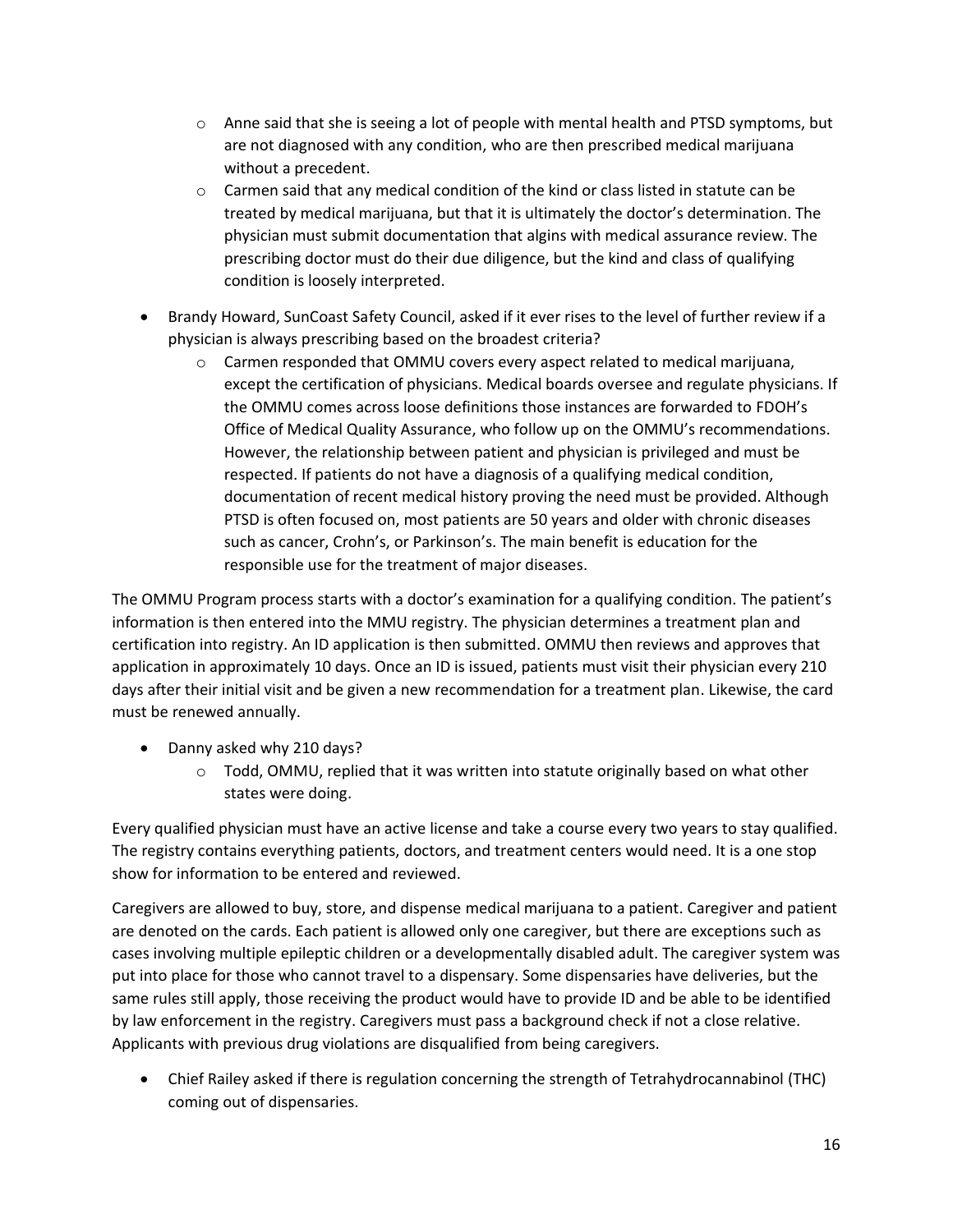- $\circ$  Anne said that she is seeing a lot of people with mental health and PTSD symptoms, but are not diagnosed with any condition, who are then prescribed medical marijuana without a precedent.
- $\circ$  Carmen said that any medical condition of the kind or class listed in statute can be treated by medical marijuana, but that it is ultimately the doctor's determination. The physician must submit documentation that algins with medical assurance review. The prescribing doctor must do their due diligence, but the kind and class of qualifying condition is loosely interpreted.
- Brandy Howard, SunCoast Safety Council, asked if it ever rises to the level of further review if a physician is always prescribing based on the broadest criteria?
	- $\circ$  Carmen responded that OMMU covers every aspect related to medical marijuana, except the certification of physicians. Medical boards oversee and regulate physicians. If the OMMU comes across loose definitions those instances are forwarded to FDOH's Office of Medical Quality Assurance, who follow up on the OMMU's recommendations. However, the relationship between patient and physician is privileged and must be respected. If patients do not have a diagnosis of a qualifying medical condition, documentation of recent medical history proving the need must be provided. Although PTSD is often focused on, most patients are 50 years and older with chronic diseases such as cancer, Crohn's, or Parkinson's. The main benefit is education for the responsible use for the treatment of major diseases.

The OMMU Program process starts with a doctor's examination for a qualifying condition. The patient's information is then entered into the MMU registry. The physician determines a treatment plan and certification into registry. An ID application is then submitted. OMMU then reviews and approves that application in approximately 10 days. Once an ID is issued, patients must visit their physician every 210 days after their initial visit and be given a new recommendation for a treatment plan. Likewise, the card must be renewed annually.

- Danny asked why 210 days?
	- $\circ$  Todd, OMMU, replied that it was written into statute originally based on what other states were doing.

Every qualified physician must have an active license and take a course every two years to stay qualified. The registry contains everything patients, doctors, and treatment centers would need. It is a one stop show for information to be entered and reviewed.

Caregivers are allowed to buy, store, and dispense medical marijuana to a patient. Caregiver and patient are denoted on the cards. Each patient is allowed only one caregiver, but there are exceptions such as cases involving multiple epileptic children or a developmentally disabled adult. The caregiver system was put into place for those who cannot travel to a dispensary. Some dispensaries have deliveries, but the same rules still apply, those receiving the product would have to provide ID and be able to be identified by law enforcement in the registry. Caregivers must pass a background check if not a close relative. Applicants with previous drug violations are disqualified from being caregivers.

• Chief Railey asked if there is regulation concerning the strength of Tetrahydrocannabinol (THC) coming out of dispensaries.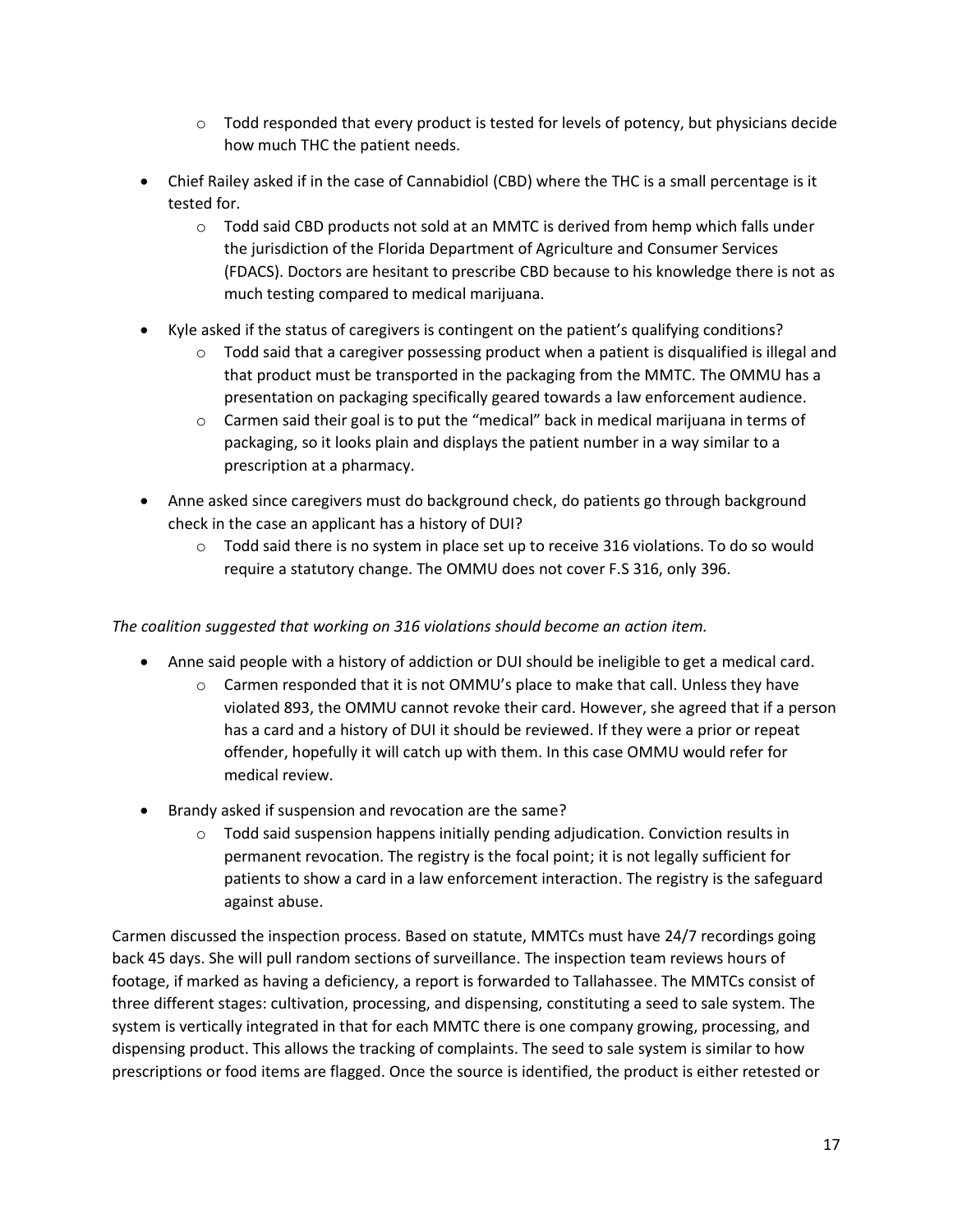- $\circ$  Todd responded that every product is tested for levels of potency, but physicians decide how much THC the patient needs.
- Chief Railey asked if in the case of Cannabidiol (CBD) where the THC is a small percentage is it tested for.
	- $\circ$  Todd said CBD products not sold at an MMTC is derived from hemp which falls under the jurisdiction of the Florida Department of Agriculture and Consumer Services (FDACS). Doctors are hesitant to prescribe CBD because to his knowledge there is not as much testing compared to medical marijuana.
- Kyle asked if the status of caregivers is contingent on the patient's qualifying conditions?
	- $\circ$  Todd said that a caregiver possessing product when a patient is disqualified is illegal and that product must be transported in the packaging from the MMTC. The OMMU has a presentation on packaging specifically geared towards a law enforcement audience.
	- $\circ$  Carmen said their goal is to put the "medical" back in medical marijuana in terms of packaging, so it looks plain and displays the patient number in a way similar to a prescription at a pharmacy.
- Anne asked since caregivers must do background check, do patients go through background check in the case an applicant has a history of DUI?
	- $\circ$  Todd said there is no system in place set up to receive 316 violations. To do so would require a statutory change. The OMMU does not cover F.S 316, only 396.

*The coalition suggested that working on 316 violations should become an action item.*

- Anne said people with a history of addiction or DUI should be ineligible to get a medical card.
	- $\circ$  Carmen responded that it is not OMMU's place to make that call. Unless they have violated 893, the OMMU cannot revoke their card. However, she agreed that if a person has a card and a history of DUI it should be reviewed. If they were a prior or repeat offender, hopefully it will catch up with them. In this case OMMU would refer for medical review.
- Brandy asked if suspension and revocation are the same?
	- $\circ$  Todd said suspension happens initially pending adjudication. Conviction results in permanent revocation. The registry is the focal point; it is not legally sufficient for patients to show a card in a law enforcement interaction. The registry is the safeguard against abuse.

Carmen discussed the inspection process. Based on statute, MMTCs must have 24/7 recordings going back 45 days. She will pull random sections of surveillance. The inspection team reviews hours of footage, if marked as having a deficiency, a report is forwarded to Tallahassee. The MMTCs consist of three different stages: cultivation, processing, and dispensing, constituting a seed to sale system. The system is vertically integrated in that for each MMTC there is one company growing, processing, and dispensing product. This allows the tracking of complaints. The seed to sale system is similar to how prescriptions or food items are flagged. Once the source is identified, the product is either retested or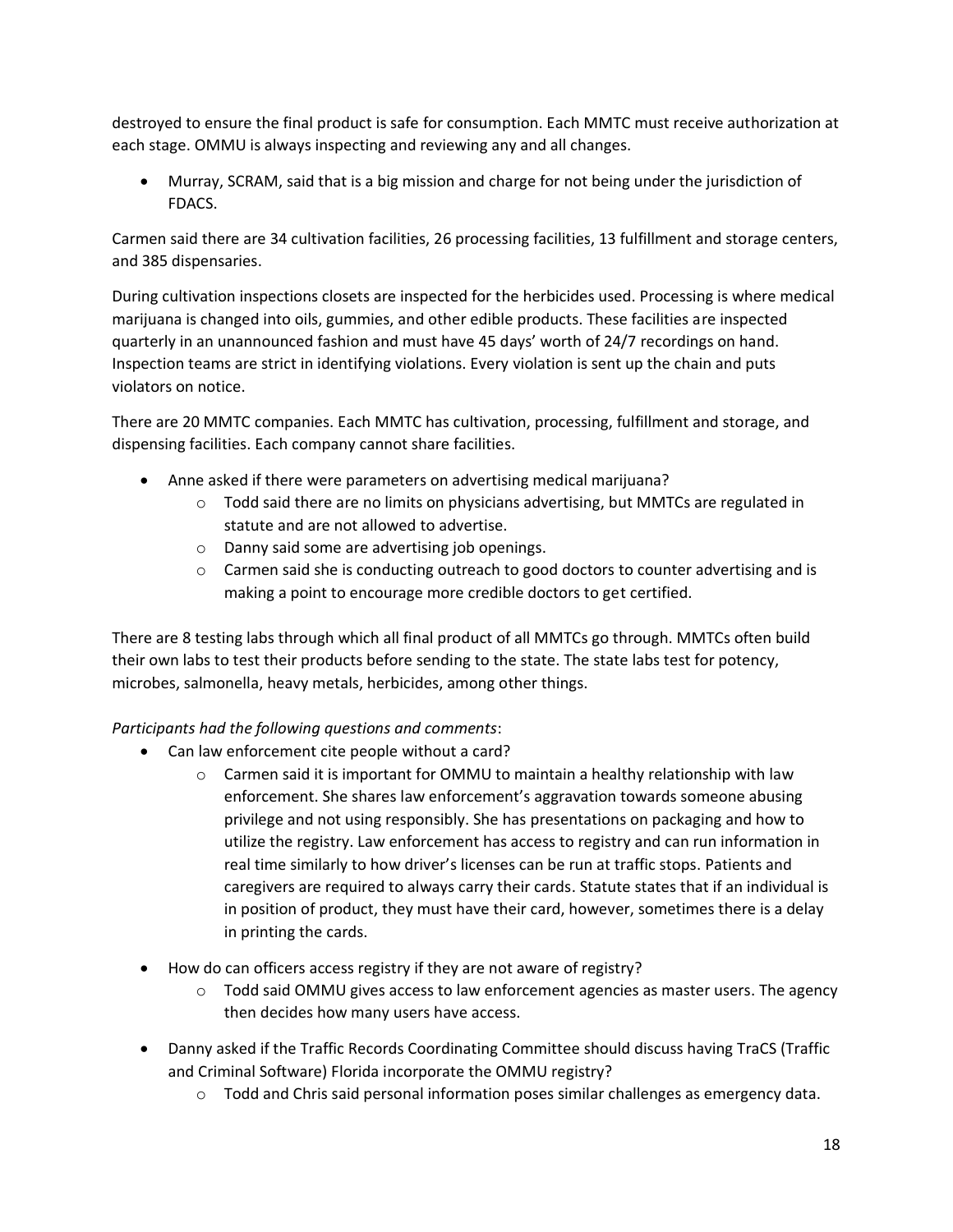destroyed to ensure the final product is safe for consumption. Each MMTC must receive authorization at each stage. OMMU is always inspecting and reviewing any and all changes.

• Murray, SCRAM, said that is a big mission and charge for not being under the jurisdiction of FDACS.

Carmen said there are 34 cultivation facilities, 26 processing facilities, 13 fulfillment and storage centers, and 385 dispensaries.

During cultivation inspections closets are inspected for the herbicides used. Processing is where medical marijuana is changed into oils, gummies, and other edible products. These facilities are inspected quarterly in an unannounced fashion and must have 45 days' worth of 24/7 recordings on hand. Inspection teams are strict in identifying violations. Every violation is sent up the chain and puts violators on notice.

There are 20 MMTC companies. Each MMTC has cultivation, processing, fulfillment and storage, and dispensing facilities. Each company cannot share facilities.

- Anne asked if there were parameters on advertising medical marijuana?
	- $\circ$  Todd said there are no limits on physicians advertising, but MMTCs are regulated in statute and are not allowed to advertise.
	- o Danny said some are advertising job openings.
	- $\circ$  Carmen said she is conducting outreach to good doctors to counter advertising and is making a point to encourage more credible doctors to get certified.

There are 8 testing labs through which all final product of all MMTCs go through. MMTCs often build their own labs to test their products before sending to the state. The state labs test for potency, microbes, salmonella, heavy metals, herbicides, among other things.

# *Participants had the following questions and comments*:

- Can law enforcement cite people without a card?
	- $\circ$  Carmen said it is important for OMMU to maintain a healthy relationship with law enforcement. She shares law enforcement's aggravation towards someone abusing privilege and not using responsibly. She has presentations on packaging and how to utilize the registry. Law enforcement has access to registry and can run information in real time similarly to how driver's licenses can be run at traffic stops. Patients and caregivers are required to always carry their cards. Statute states that if an individual is in position of product, they must have their card, however, sometimes there is a delay in printing the cards.
- How do can officers access registry if they are not aware of registry?
	- $\circ$  Todd said OMMU gives access to law enforcement agencies as master users. The agency then decides how many users have access.
- Danny asked if the Traffic Records Coordinating Committee should discuss having TraCS (Traffic and Criminal Software) Florida incorporate the OMMU registry?
	- $\circ$  Todd and Chris said personal information poses similar challenges as emergency data.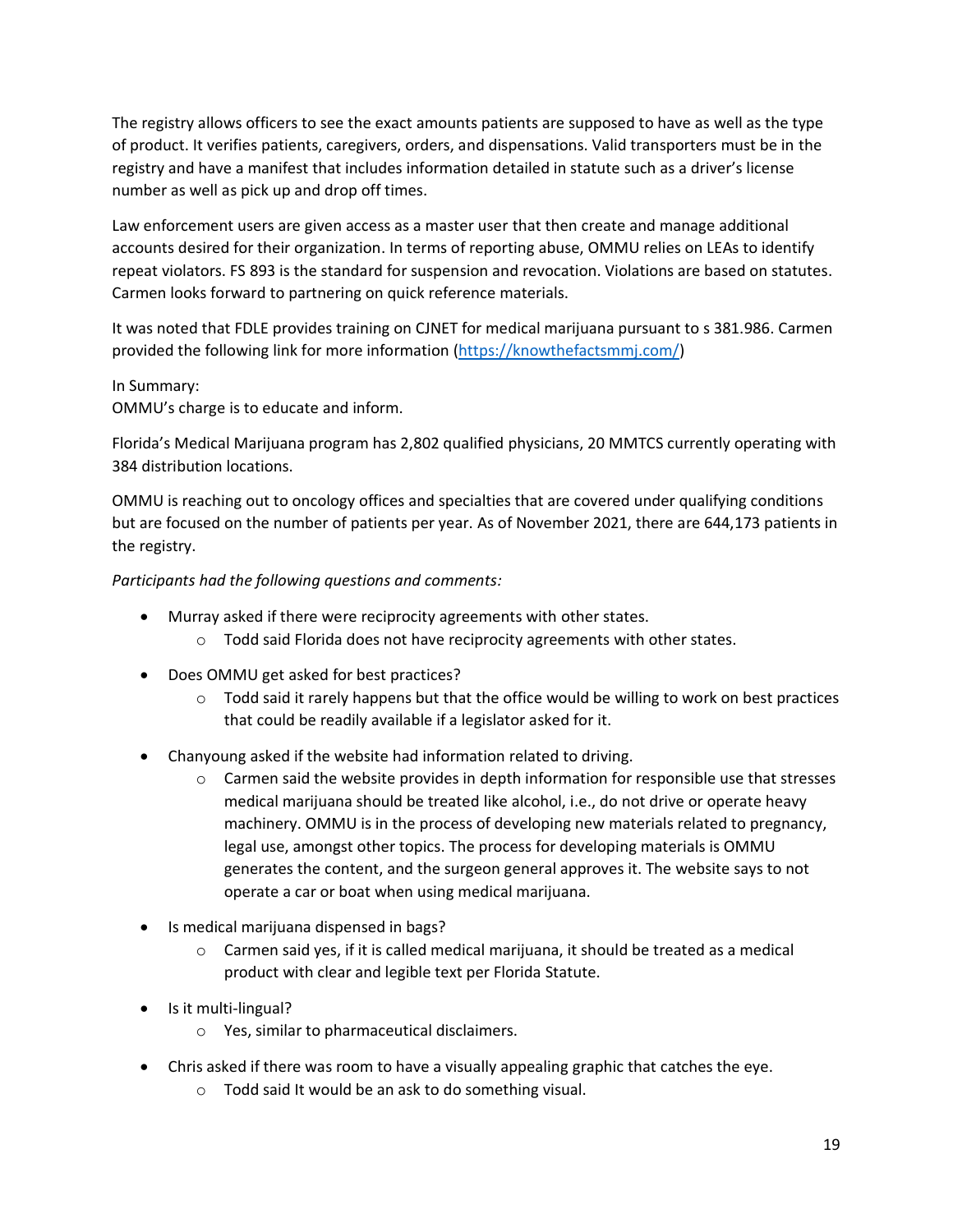The registry allows officers to see the exact amounts patients are supposed to have as well as the type of product. It verifies patients, caregivers, orders, and dispensations. Valid transporters must be in the registry and have a manifest that includes information detailed in statute such as a driver's license number as well as pick up and drop off times.

Law enforcement users are given access as a master user that then create and manage additional accounts desired for their organization. In terms of reporting abuse, OMMU relies on LEAs to identify repeat violators. FS 893 is the standard for suspension and revocation. Violations are based on statutes. Carmen looks forward to partnering on quick reference materials.

It was noted that FDLE provides training on CJNET for medical marijuana pursuant to s 381.986. Carmen provided the following link for more information [\(https://knowthefactsmmj.com/\)](https://knowthefactsmmj.com/)

#### In Summary:

OMMU's charge is to educate and inform.

Florida's Medical Marijuana program has 2,802 qualified physicians, 20 MMTCS currently operating with 384 distribution locations.

OMMU is reaching out to oncology offices and specialties that are covered under qualifying conditions but are focused on the number of patients per year. As of November 2021, there are 644,173 patients in the registry.

*Participants had the following questions and comments:*

- Murray asked if there were reciprocity agreements with other states.
	- o Todd said Florida does not have reciprocity agreements with other states.
- Does OMMU get asked for best practices?
	- $\circ$  Todd said it rarely happens but that the office would be willing to work on best practices that could be readily available if a legislator asked for it.
- Chanyoung asked if the website had information related to driving.
	- o Carmen said the website provides in depth information for responsible use that stresses medical marijuana should be treated like alcohol, i.e., do not drive or operate heavy machinery. OMMU is in the process of developing new materials related to pregnancy, legal use, amongst other topics. The process for developing materials is OMMU generates the content, and the surgeon general approves it. The website says to not operate a car or boat when using medical marijuana.
- Is medical marijuana dispensed in bags?
	- $\circ$  Carmen said yes, if it is called medical marijuana, it should be treated as a medical product with clear and legible text per Florida Statute.
- Is it multi-lingual?
	- o Yes, similar to pharmaceutical disclaimers.
- Chris asked if there was room to have a visually appealing graphic that catches the eye.
	- o Todd said It would be an ask to do something visual.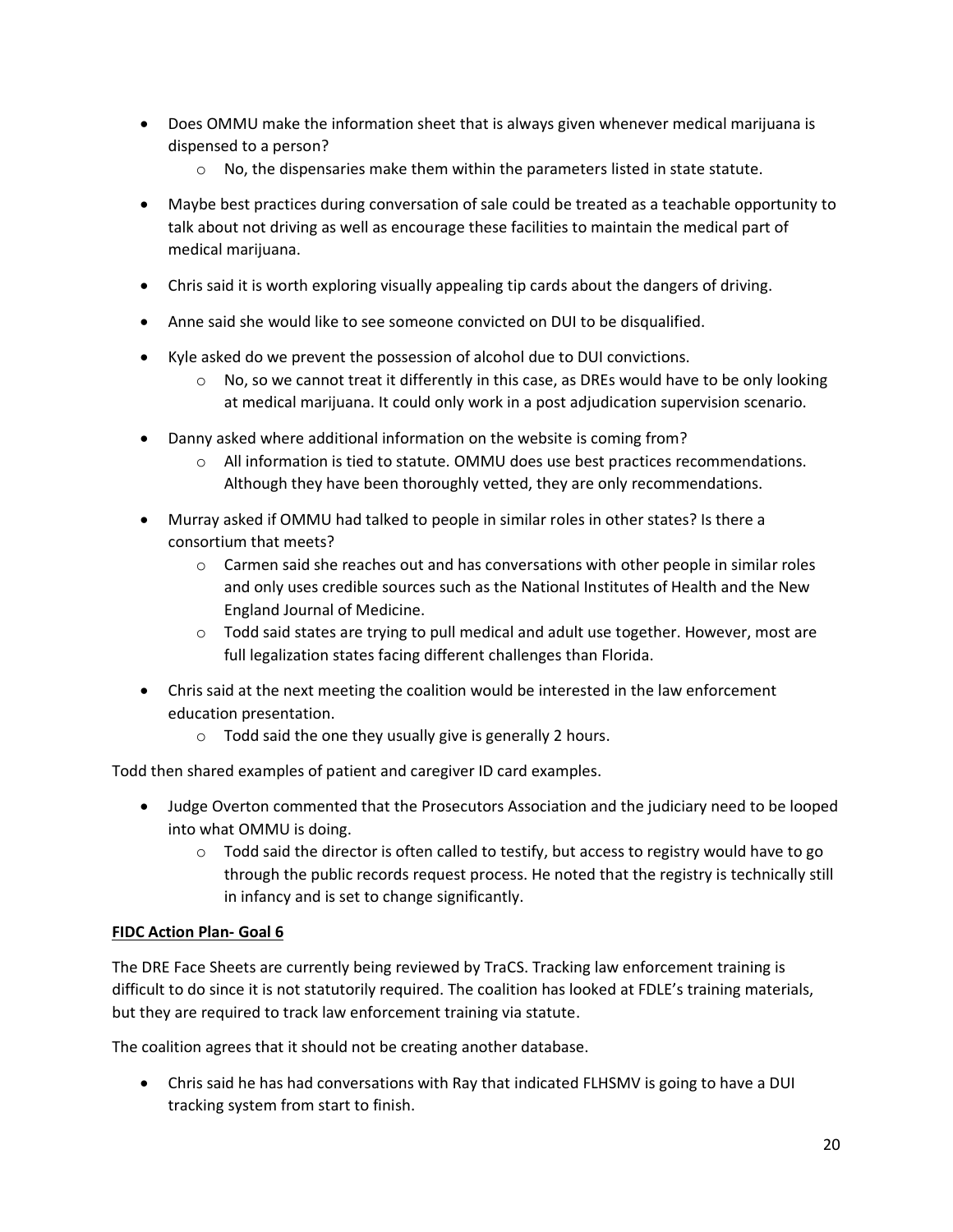- Does OMMU make the information sheet that is always given whenever medical marijuana is dispensed to a person?
	- $\circ$  No, the dispensaries make them within the parameters listed in state statute.
- Maybe best practices during conversation of sale could be treated as a teachable opportunity to talk about not driving as well as encourage these facilities to maintain the medical part of medical marijuana.
- Chris said it is worth exploring visually appealing tip cards about the dangers of driving.
- Anne said she would like to see someone convicted on DUI to be disqualified.
- Kyle asked do we prevent the possession of alcohol due to DUI convictions.
	- $\circ$  No, so we cannot treat it differently in this case, as DREs would have to be only looking at medical marijuana. It could only work in a post adjudication supervision scenario.
- Danny asked where additional information on the website is coming from?
	- $\circ$  All information is tied to statute. OMMU does use best practices recommendations. Although they have been thoroughly vetted, they are only recommendations.
- Murray asked if OMMU had talked to people in similar roles in other states? Is there a consortium that meets?
	- $\circ$  Carmen said she reaches out and has conversations with other people in similar roles and only uses credible sources such as the National Institutes of Health and the New England Journal of Medicine.
	- $\circ$  Todd said states are trying to pull medical and adult use together. However, most are full legalization states facing different challenges than Florida.
- Chris said at the next meeting the coalition would be interested in the law enforcement education presentation.
	- o Todd said the one they usually give is generally 2 hours.

Todd then shared examples of patient and caregiver ID card examples.

- Judge Overton commented that the Prosecutors Association and the judiciary need to be looped into what OMMU is doing.
	- $\circ$  Todd said the director is often called to testify, but access to registry would have to go through the public records request process. He noted that the registry is technically still in infancy and is set to change significantly.

# **FIDC Action Plan- Goal 6**

The DRE Face Sheets are currently being reviewed by TraCS. Tracking law enforcement training is difficult to do since it is not statutorily required. The coalition has looked at FDLE's training materials, but they are required to track law enforcement training via statute.

The coalition agrees that it should not be creating another database.

• Chris said he has had conversations with Ray that indicated FLHSMV is going to have a DUI tracking system from start to finish.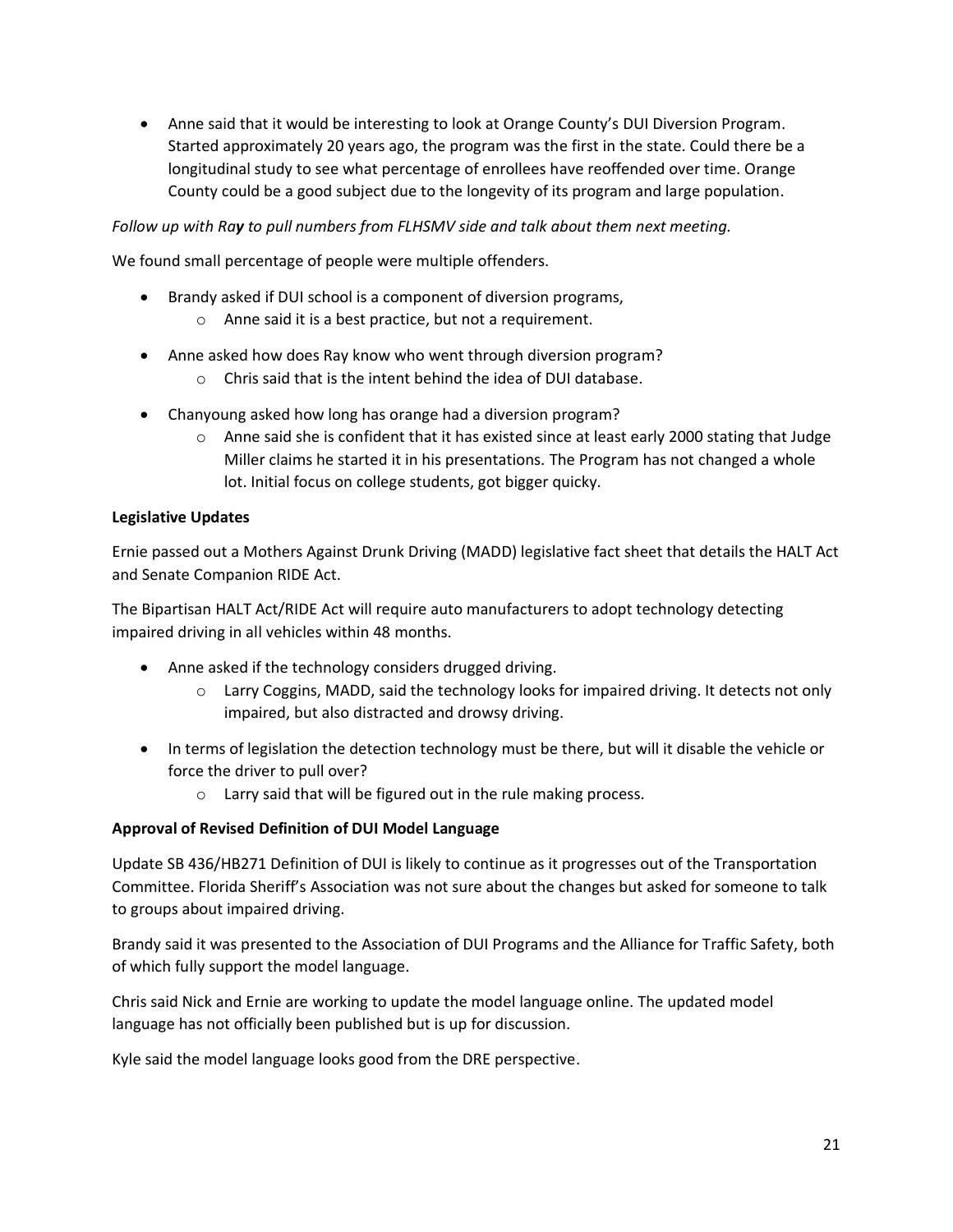• Anne said that it would be interesting to look at Orange County's DUI Diversion Program. Started approximately 20 years ago, the program was the first in the state. Could there be a longitudinal study to see what percentage of enrollees have reoffended over time. Orange County could be a good subject due to the longevity of its program and large population.

#### *Follow up with Ray to pull numbers from FLHSMV side and talk about them next meeting.*

We found small percentage of people were multiple offenders.

- Brandy asked if DUI school is a component of diversion programs,
	- o Anne said it is a best practice, but not a requirement.
- Anne asked how does Ray know who went through diversion program?
	- o Chris said that is the intent behind the idea of DUI database.
- Chanyoung asked how long has orange had a diversion program?
	- o Anne said she is confident that it has existed since at least early 2000 stating that Judge Miller claims he started it in his presentations. The Program has not changed a whole lot. Initial focus on college students, got bigger quicky.

#### **Legislative Updates**

Ernie passed out a Mothers Against Drunk Driving (MADD) legislative fact sheet that details the HALT Act and Senate Companion RIDE Act.

The Bipartisan HALT Act/RIDE Act will require auto manufacturers to adopt technology detecting impaired driving in all vehicles within 48 months.

- Anne asked if the technology considers drugged driving.
	- o Larry Coggins, MADD, said the technology looks for impaired driving. It detects not only impaired, but also distracted and drowsy driving.
- In terms of legislation the detection technology must be there, but will it disable the vehicle or force the driver to pull over?
	- o Larry said that will be figured out in the rule making process.

#### **Approval of Revised Definition of DUI Model Language**

Update SB 436/HB271 Definition of DUI is likely to continue as it progresses out of the Transportation Committee. Florida Sheriff's Association was not sure about the changes but asked for someone to talk to groups about impaired driving.

Brandy said it was presented to the Association of DUI Programs and the Alliance for Traffic Safety, both of which fully support the model language.

Chris said Nick and Ernie are working to update the model language online. The updated model language has not officially been published but is up for discussion.

Kyle said the model language looks good from the DRE perspective.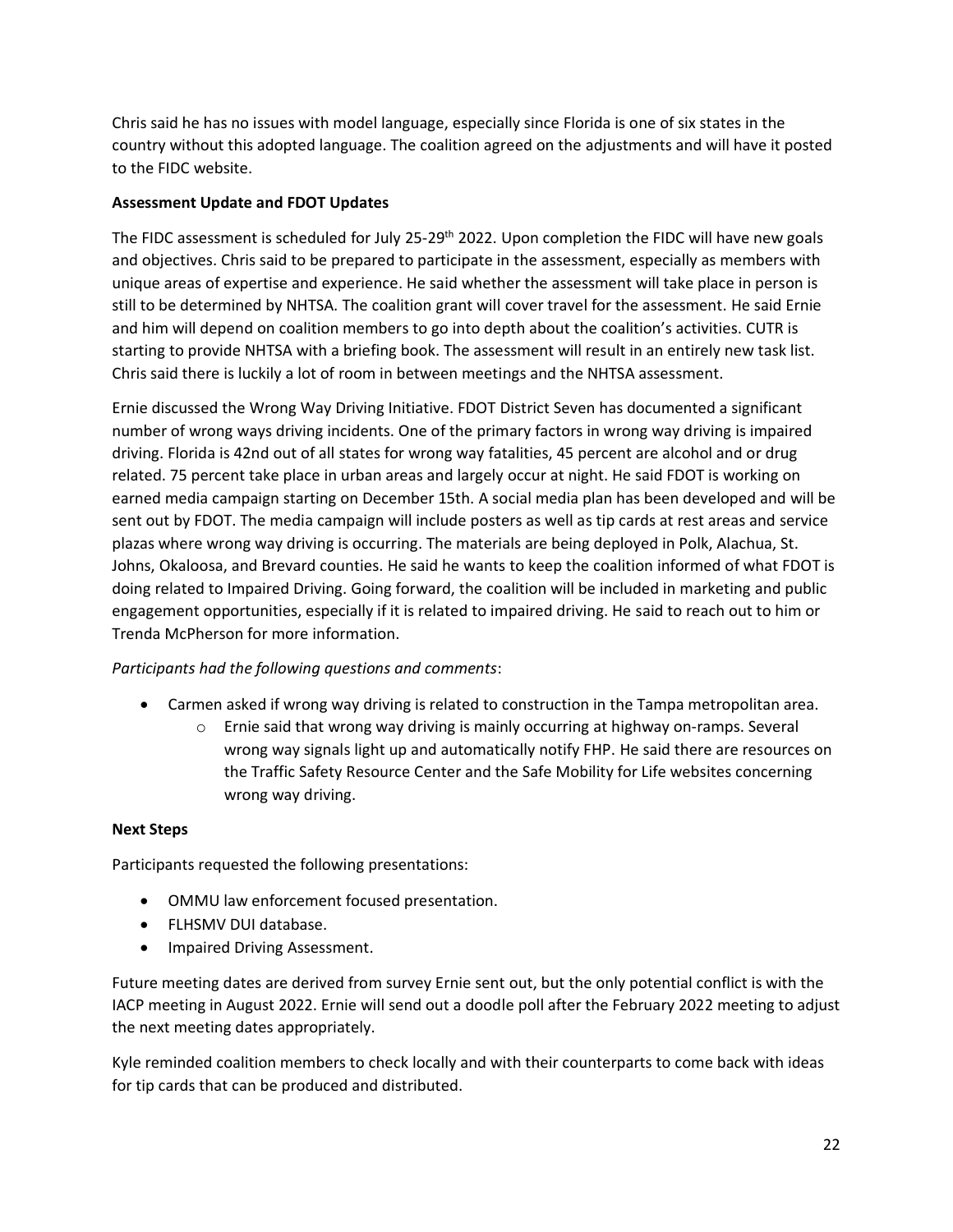Chris said he has no issues with model language, especially since Florida is one of six states in the country without this adopted language. The coalition agreed on the adjustments and will have it posted to the FIDC website.

#### **Assessment Update and FDOT Updates**

The FIDC assessment is scheduled for July 25-29<sup>th</sup> 2022. Upon completion the FIDC will have new goals and objectives. Chris said to be prepared to participate in the assessment, especially as members with unique areas of expertise and experience. He said whether the assessment will take place in person is still to be determined by NHTSA. The coalition grant will cover travel for the assessment. He said Ernie and him will depend on coalition members to go into depth about the coalition's activities. CUTR is starting to provide NHTSA with a briefing book. The assessment will result in an entirely new task list. Chris said there is luckily a lot of room in between meetings and the NHTSA assessment.

Ernie discussed the Wrong Way Driving Initiative. FDOT District Seven has documented a significant number of wrong ways driving incidents. One of the primary factors in wrong way driving is impaired driving. Florida is 42nd out of all states for wrong way fatalities, 45 percent are alcohol and or drug related. 75 percent take place in urban areas and largely occur at night. He said FDOT is working on earned media campaign starting on December 15th. A social media plan has been developed and will be sent out by FDOT. The media campaign will include posters as well as tip cards at rest areas and service plazas where wrong way driving is occurring. The materials are being deployed in Polk, Alachua, St. Johns, Okaloosa, and Brevard counties. He said he wants to keep the coalition informed of what FDOT is doing related to Impaired Driving. Going forward, the coalition will be included in marketing and public engagement opportunities, especially if it is related to impaired driving. He said to reach out to him or Trenda McPherson for more information.

# *Participants had the following questions and comments*:

- Carmen asked if wrong way driving is related to construction in the Tampa metropolitan area.
	- o Ernie said that wrong way driving is mainly occurring at highway on-ramps. Several wrong way signals light up and automatically notify FHP. He said there are resources on the Traffic Safety Resource Center and the Safe Mobility for Life websites concerning wrong way driving.

#### **Next Steps**

Participants requested the following presentations:

- OMMU law enforcement focused presentation.
- FLHSMV DUI database.
- Impaired Driving Assessment.

Future meeting dates are derived from survey Ernie sent out, but the only potential conflict is with the IACP meeting in August 2022. Ernie will send out a doodle poll after the February 2022 meeting to adjust the next meeting dates appropriately.

Kyle reminded coalition members to check locally and with their counterparts to come back with ideas for tip cards that can be produced and distributed.